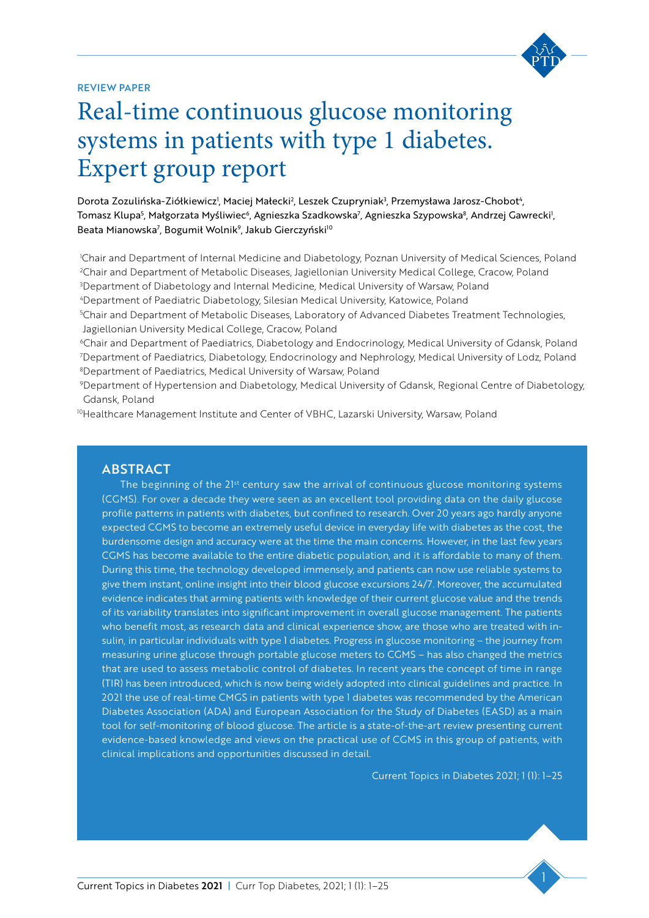

#### Review paper

# Real-time continuous glucose monitoring vpe 1 diabe systems in patients with type 1 diabetes. Expert group report

Dorota Zozulińska-Ziółkiewicz<sup>i</sup>, Maciej Małecki<sup>2</sup>, Leszek Czupryniak<sup>3</sup>, Przemysława Jarosz-Chobot<sup>4</sup>, Tomasz Klupa<sup>5</sup>, Małgorzata Myśliwiec<sup>6</sup>, Agnieszka Szadkowska<sup>7</sup>, Agnieszka Szypowska<sup>8</sup>, Andrzej Gawrecki<sup>1</sup>, Beata Mianowska<sup>7</sup>, Bogumił Wolnik<sup>9</sup>, Jakub Gierczyński<sup>10</sup>

k)<br>|<br>| Chair and Department of Internal Medicine and Diabetology, Poznan University of Medical Sciences, Poland Chair and Department of Metabolic Diseases, Jagiellonian University Medical College, Cracow, Poland Department of Diabetology and Internal Medicine, Medical University of Warsaw, Poland Department of Paediatric Diabetology, Silesian Medical University, Katowice, Poland

5 Chair and Department of Metabolic Diseases, Laboratory of Advanced Diabetes Treatment Technologies, Jagiellonian University Medical College, Cracow, Poland

6Chair and Department of Paediatrics, Diabetology and Endocrinology, Medical University of Gdansk, Poland 7 Department of Paediatrics, Diabetology, Endocrinology and Nephrology, Medical University of Lodz, Poland 8 Department of Paediatrics, Medical University of Warsaw, Poland

9 Department of Hypertension and Diabetology, Medical University of Gdansk, Regional Centre of Diabetology, Gdansk, Poland

10Healthcare Management Institute and Center of VBHC, Lazarski University, Warsaw, Poland

#### **ABSTRACT**

The beginning of the 21st century saw the arrival of continuous glucose monitoring systems (CGMS). For over a decade they were seen as an excellent tool providing data on the daily glucose profile patterns in patients with diabetes, but confined to research. Over 20 years ago hardly anyone expected CGMS to become an extremely useful device in everyday life with diabetes as the cost, the burdensome design and accuracy were at the time the main concerns. However, in the last few years CGMS has become available to the entire diabetic population, and it is affordable to many of them. During this time, the technology developed immensely, and patients can now use reliable systems to give them instant, online insight into their blood glucose excursions 24/7. Moreover, the accumulated evidence indicates that arming patients with knowledge of their current glucose value and the trends of its variability translates into significant improvement in overall glucose management. The patients who benefit most, as research data and clinical experience show, are those who are treated with insulin, in particular individuals with type 1 diabetes. Progress in glucose monitoring – the journey from measuring urine glucose through portable glucose meters to CGMS – has also changed the metrics that are used to assess metabolic control of diabetes. In recent years the concept of time in range (TIR) has been introduced, which is now being widely adopted into clinical guidelines and practice. In 2021 the use of real-time CMGS in patients with type 1 diabetes was recommended by the American Diabetes Association (ADA) and European Association for the Study of Diabetes (EASD) as a main tool for self-monitoring of blood glucose. The article is a state-of-the-art review presenting current evidence-based knowledge and views on the practical use of CGMS in this group of patients, with clinical implications and opportunities discussed in detail.

Current Topics in Diabetes 2021; 1 (1): 1–25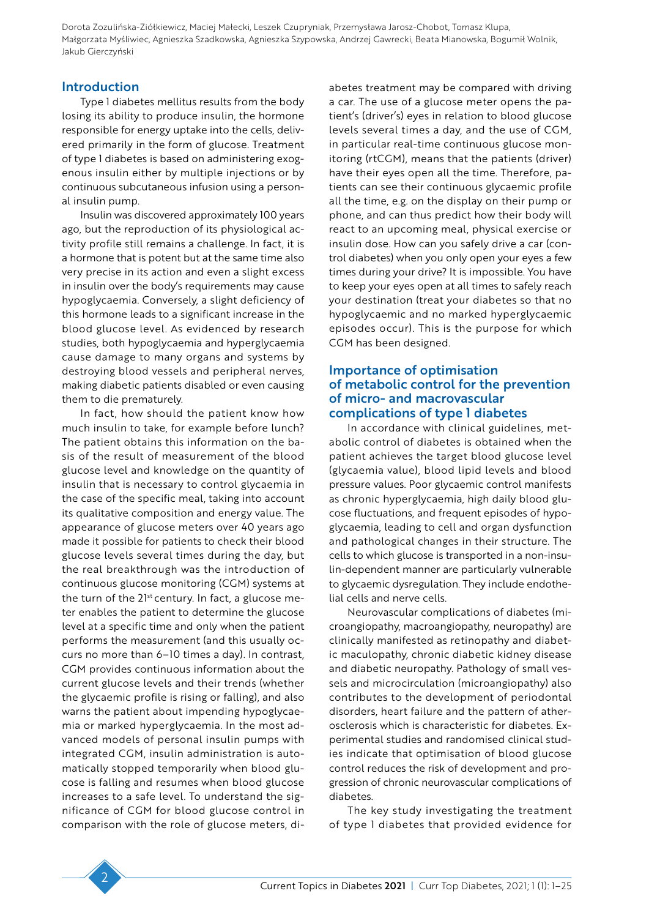### Introduction

Type 1 diabetes mellitus results from the body losing its ability to produce insulin, the hormone responsible for energy uptake into the cells, delivered primarily in the form of glucose. Treatment of type 1 diabetes is based on administering exogenous insulin either by multiple injections or by continuous subcutaneous infusion using a personal insulin pump.

Insulin was discovered approximately 100 years ago, but the reproduction of its physiological activity profile still remains a challenge. In fact, it is a hormone that is potent but at the same time also very precise in its action and even a slight excess in insulin over the body's requirements may cause hypoglycaemia. Conversely, a slight deficiency of this hormone leads to a significant increase in the blood glucose level. As evidenced by research studies, both hypoglycaemia and hyperglycaemia cause damage to many organs and systems by destroying blood vessels and peripheral nerves, making diabetic patients disabled or even causing them to die prematurely.

In fact, how should the patient know how much insulin to take, for example before lunch? The patient obtains this information on the basis of the result of measurement of the blood glucose level and knowledge on the quantity of insulin that is necessary to control glycaemia in the case of the specific meal, taking into account its qualitative composition and energy value. The appearance of glucose meters over 40 years ago made it possible for patients to check their blood glucose levels several times during the day, but the real breakthrough was the introduction of continuous glucose monitoring (CGM) systems at the turn of the 21<sup>st</sup> century. In fact, a glucose meter enables the patient to determine the glucose level at a specific time and only when the patient performs the measurement (and this usually occurs no more than 6–10 times a day). In contrast, CGM provides continuous information about the current glucose levels and their trends (whether the glycaemic profile is rising or falling), and also warns the patient about impending hypoglycaemia or marked hyperglycaemia. In the most advanced models of personal insulin pumps with integrated CGM, insulin administration is automatically stopped temporarily when blood glucose is falling and resumes when blood glucose increases to a safe level. To understand the significance of CGM for blood glucose control in comparison with the role of glucose meters, di-

abetes treatment may be compared with driving a car. The use of a glucose meter opens the patient's (driver's) eyes in relation to blood glucose levels several times a day, and the use of CGM, in particular real-time continuous glucose monitoring (rtCGM), means that the patients (driver) have their eyes open all the time. Therefore, patients can see their continuous glycaemic profile all the time, e.g. on the display on their pump or phone, and can thus predict how their body will react to an upcoming meal, physical exercise or insulin dose. How can you safely drive a car (control diabetes) when you only open your eyes a few times during your drive? It is impossible. You have to keep your eyes open at all times to safely reach your destination (treat your diabetes so that no hypoglycaemic and no marked hyperglycaemic episodes occur). This is the purpose for which CGM has been designed.

#### Importance of optimisation of metabolic control for the prevention of micro- and macrovascular complications of type 1 diabetes

In accordance with clinical guidelines, metabolic control of diabetes is obtained when the patient achieves the target blood glucose level (glycaemia value), blood lipid levels and blood pressure values. Poor glycaemic control manifests as chronic hyperglycaemia, high daily blood glucose fluctuations, and frequent episodes of hypoglycaemia, leading to cell and organ dysfunction and pathological changes in their structure. The cells to which glucose is transported in a non-insulin-dependent manner are particularly vulnerable to glycaemic dysregulation. They include endothelial cells and nerve cells.

Neurovascular complications of diabetes (microangiopathy, macroangiopathy, neuropathy) are clinically manifested as retinopathy and diabetic maculopathy, chronic diabetic kidney disease and diabetic neuropathy. Pathology of small vessels and microcirculation (microangiopathy) also contributes to the development of periodontal disorders, heart failure and the pattern of atherosclerosis which is characteristic for diabetes. Experimental studies and randomised clinical studies indicate that optimisation of blood glucose control reduces the risk of development and progression of chronic neurovascular complications of diabetes.

The key study investigating the treatment of type 1 diabetes that provided evidence for

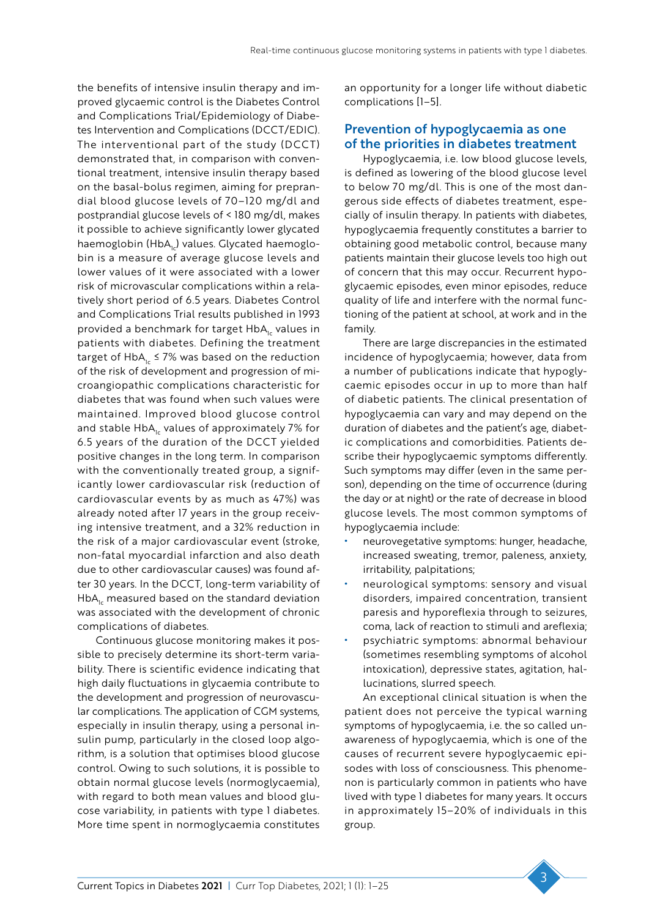the benefits of intensive insulin therapy and improved glycaemic control is the Diabetes Control and Complications Trial/Epidemiology of Diabetes Intervention and Complications (DCCT/EDIC). The interventional part of the study (DCCT) demonstrated that, in comparison with conventional treatment, intensive insulin therapy based on the basal-bolus regimen, aiming for preprandial blood glucose levels of 70–120 mg/dl and postprandial glucose levels of < 180 mg/dl, makes it possible to achieve significantly lower glycated haemoglobin (HbA<sub>1c</sub>) values. Glycated haemoglobin is a measure of average glucose levels and lower values of it were associated with a lower risk of microvascular complications within a relatively short period of 6.5 years. Diabetes Control and Complications Trial results published in 1993 provided a benchmark for target HbA<sub>1</sub> values in patients with diabetes. Defining the treatment target of HbA<sub>1c</sub> ≤ 7% was based on the reduction of the risk of development and progression of microangiopathic complications characteristic for diabetes that was found when such values were maintained. Improved blood glucose control and stable  $HbA<sub>1c</sub>$  values of approximately 7% for 6.5 years of the duration of the DCCT yielded positive changes in the long term. In comparison with the conventionally treated group, a significantly lower cardiovascular risk (reduction of cardiovascular events by as much as 47%) was already noted after 17 years in the group receiving intensive treatment, and a 32% reduction in the risk of a major cardiovascular event (stroke, non-fatal myocardial infarction and also death due to other cardiovascular causes) was found after 30 years. In the DCCT, long-term variability of  $HbA<sub>1c</sub>$  measured based on the standard deviation was associated with the development of chronic complications of diabetes.

Continuous glucose monitoring makes it possible to precisely determine its short-term variability. There is scientific evidence indicating that high daily fluctuations in glycaemia contribute to the development and progression of neurovascular complications. The application of CGM systems, especially in insulin therapy, using a personal insulin pump, particularly in the closed loop algorithm, is a solution that optimises blood glucose control. Owing to such solutions, it is possible to obtain normal glucose levels (normoglycaemia), with regard to both mean values and blood glucose variability, in patients with type 1 diabetes. More time spent in normoglycaemia constitutes

an opportunity for a longer life without diabetic complications [1–5].

#### Prevention of hypoglycaemia as one of the priorities in diabetes treatment

Hypoglycaemia, i.e. low blood glucose levels, is defined as lowering of the blood glucose level to below 70 mg/dl. This is one of the most dangerous side effects of diabetes treatment, especially of insulin therapy. In patients with diabetes, hypoglycaemia frequently constitutes a barrier to obtaining good metabolic control, because many patients maintain their glucose levels too high out of concern that this may occur. Recurrent hypoglycaemic episodes, even minor episodes, reduce quality of life and interfere with the normal functioning of the patient at school, at work and in the family.

There are large discrepancies in the estimated incidence of hypoglycaemia; however, data from a number of publications indicate that hypoglycaemic episodes occur in up to more than half of diabetic patients. The clinical presentation of hypoglycaemia can vary and may depend on the duration of diabetes and the patient's age, diabetic complications and comorbidities. Patients describe their hypoglycaemic symptoms differently. Such symptoms may differ (even in the same person), depending on the time of occurrence (during the day or at night) or the rate of decrease in blood glucose levels. The most common symptoms of hypoglycaemia include:

- neurovegetative symptoms: hunger, headache, increased sweating, tremor, paleness, anxiety, irritability, palpitations;
- neurological symptoms: sensory and visual disorders, impaired concentration, transient paresis and hyporeflexia through to seizures, coma, lack of reaction to stimuli and areflexia;
- psychiatric symptoms: abnormal behaviour (sometimes resembling symptoms of alcohol intoxication), depressive states, agitation, hallucinations, slurred speech.

An exceptional clinical situation is when the patient does not perceive the typical warning symptoms of hypoglycaemia, i.e. the so called unawareness of hypoglycaemia, which is one of the causes of recurrent severe hypoglycaemic episodes with loss of consciousness. This phenomenon is particularly common in patients who have lived with type 1 diabetes for many years. It occurs in approximately 15–20% of individuals in this group.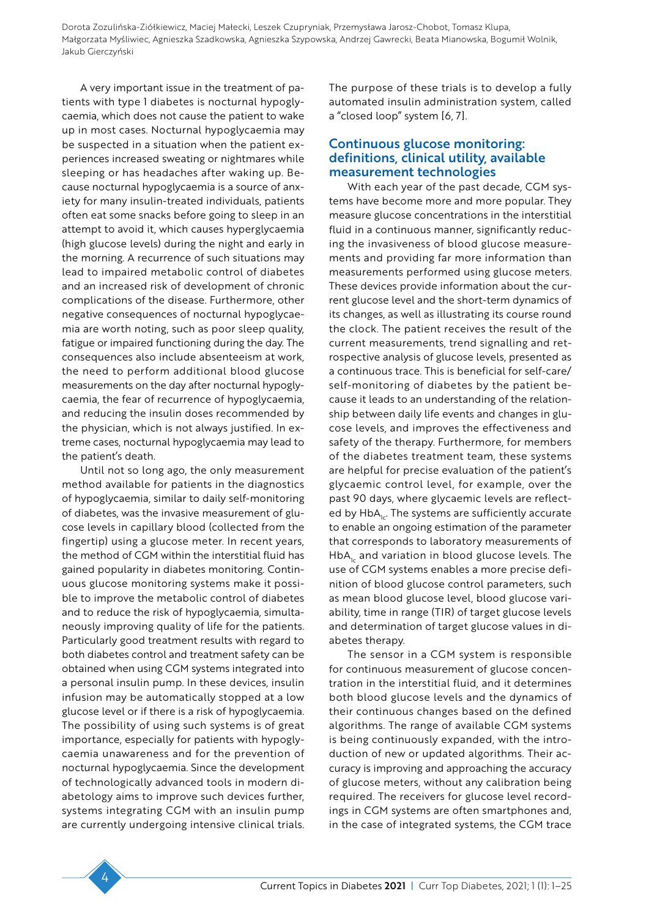A very important issue in the treatment of patients with type 1 diabetes is nocturnal hypoglycaemia, which does not cause the patient to wake up in most cases. Nocturnal hypoglycaemia may be suspected in a situation when the patient experiences increased sweating or nightmares while sleeping or has headaches after waking up. Because nocturnal hypoglycaemia is a source of anxiety for many insulin-treated individuals, patients often eat some snacks before going to sleep in an attempt to avoid it, which causes hyperglycaemia (high glucose levels) during the night and early in the morning. A recurrence of such situations may lead to impaired metabolic control of diabetes and an increased risk of development of chronic complications of the disease. Furthermore, other negative consequences of nocturnal hypoglycaemia are worth noting, such as poor sleep quality, fatigue or impaired functioning during the day. The consequences also include absenteeism at work, the need to perform additional blood glucose measurements on the day after nocturnal hypoglycaemia, the fear of recurrence of hypoglycaemia, and reducing the insulin doses recommended by the physician, which is not always justified. In extreme cases, nocturnal hypoglycaemia may lead to the patient's death.

Until not so long ago, the only measurement method available for patients in the diagnostics of hypoglycaemia, similar to daily self-monitoring of diabetes, was the invasive measurement of glucose levels in capillary blood (collected from the fingertip) using a glucose meter. In recent years, the method of CGM within the interstitial fluid has gained popularity in diabetes monitoring. Continuous glucose monitoring systems make it possible to improve the metabolic control of diabetes and to reduce the risk of hypoglycaemia, simultaneously improving quality of life for the patients. Particularly good treatment results with regard to both diabetes control and treatment safety can be obtained when using CGM systems integrated into a personal insulin pump. In these devices, insulin infusion may be automatically stopped at a low glucose level or if there is a risk of hypoglycaemia. The possibility of using such systems is of great importance, especially for patients with hypoglycaemia unawareness and for the prevention of nocturnal hypoglycaemia. Since the development of technologically advanced tools in modern diabetology aims to improve such devices further, systems integrating CGM with an insulin pump are currently undergoing intensive clinical trials. The purpose of these trials is to develop a fully automated insulin administration system, called a "closed loop" system [6, 7].

# Continuous glucose monitoring: definitions, clinical utility, available measurement technologies

With each year of the past decade, CGM systems have become more and more popular. They measure glucose concentrations in the interstitial fluid in a continuous manner, significantly reducing the invasiveness of blood glucose measurements and providing far more information than measurements performed using glucose meters. These devices provide information about the current glucose level and the short-term dynamics of its changes, as well as illustrating its course round the clock. The patient receives the result of the current measurements, trend signalling and retrospective analysis of glucose levels, presented as a continuous trace. This is beneficial for self-care/ self-monitoring of diabetes by the patient because it leads to an understanding of the relationship between daily life events and changes in glucose levels, and improves the effectiveness and safety of the therapy. Furthermore, for members of the diabetes treatment team, these systems are helpful for precise evaluation of the patient's glycaemic control level, for example, over the past 90 days, where glycaemic levels are reflected by HbA<sub>12</sub>. The systems are sufficiently accurate to enable an ongoing estimation of the parameter that corresponds to laboratory measurements of  $HbA<sub>1c</sub>$  and variation in blood glucose levels. The use of CGM systems enables a more precise definition of blood glucose control parameters, such as mean blood glucose level, blood glucose variability, time in range (TIR) of target glucose levels and determination of target glucose values in diabetes therapy.

The sensor in a CGM system is responsible for continuous measurement of glucose concentration in the interstitial fluid, and it determines both blood glucose levels and the dynamics of their continuous changes based on the defined algorithms. The range of available CGM systems is being continuously expanded, with the introduction of new or updated algorithms. Their accuracy is improving and approaching the accuracy of glucose meters, without any calibration being required. The receivers for glucose level recordings in CGM systems are often smartphones and, in the case of integrated systems, the CGM trace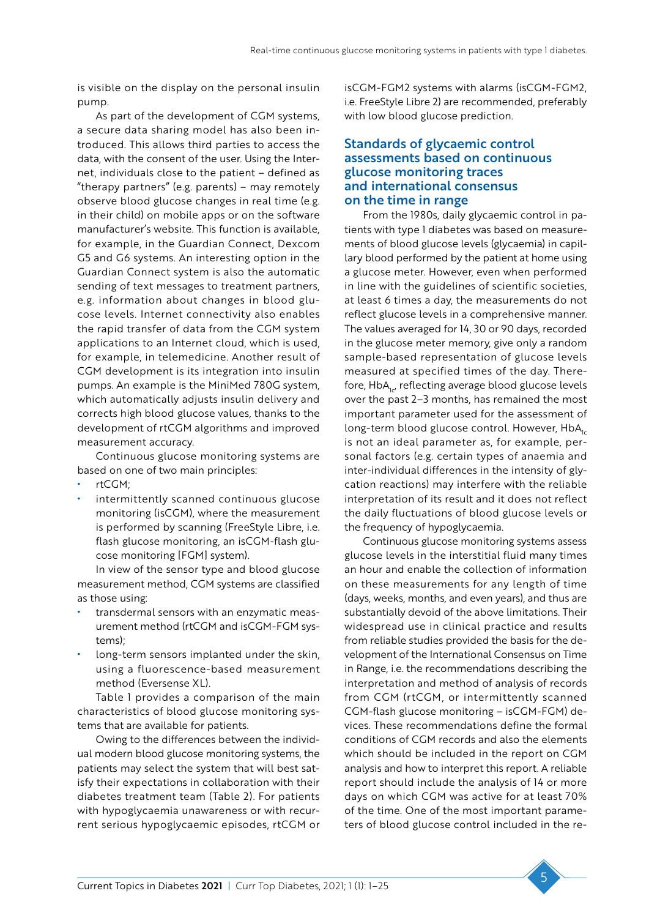is visible on the display on the personal insulin pump.

As part of the development of CGM systems, a secure data sharing model has also been introduced. This allows third parties to access the data, with the consent of the user. Using the Internet, individuals close to the patient – defined as "therapy partners" (e.g. parents) – may remotely observe blood glucose changes in real time (e.g. in their child) on mobile apps or on the software manufacturer's website. This function is available, for example, in the Guardian Connect, Dexcom G5 and G6 systems. An interesting option in the Guardian Connect system is also the automatic sending of text messages to treatment partners, e.g. information about changes in blood glucose levels. Internet connectivity also enables the rapid transfer of data from the CGM system applications to an Internet cloud, which is used, for example, in telemedicine. Another result of CGM development is its integration into insulin pumps. An example is the MiniMed 780G system, which automatically adjusts insulin delivery and corrects high blood glucose values, thanks to the development of rtCGM algorithms and improved measurement accuracy.

Continuous glucose monitoring systems are based on one of two main principles:

- rtCGM:
- intermittently scanned continuous glucose monitoring (isCGM), where the measurement is performed by scanning (FreeStyle Libre, i.e. flash glucose monitoring, an isCGM-flash glucose monitoring [FGM] system).

In view of the sensor type and blood glucose measurement method, CGM systems are classified as those using:

- transdermal sensors with an enzymatic measurement method (rtCGM and isCGM-FGM systems);
- long-term sensors implanted under the skin, using a fluorescence-based measurement method (Eversense XL).

Table 1 provides a comparison of the main characteristics of blood glucose monitoring systems that are available for patients.

Owing to the differences between the individual modern blood glucose monitoring systems, the patients may select the system that will best satisfy their expectations in collaboration with their diabetes treatment team (Table 2). For patients with hypoglycaemia unawareness or with recurrent serious hypoglycaemic episodes, rtCGM or isCGM-FGM2 systems with alarms (isCGM-FGM2, i.e. FreeStyle Libre 2) are recommended, preferably with low blood glucose prediction.

#### Standards of glycaemic control assessments based on continuous glucose monitoring traces and international consensus on the time in range

From the 1980s, daily glycaemic control in patients with type 1 diabetes was based on measurements of blood glucose levels (glycaemia) in capillary blood performed by the patient at home using a glucose meter. However, even when performed in line with the guidelines of scientific societies, at least 6 times a day, the measurements do not reflect glucose levels in a comprehensive manner. The values averaged for 14, 30 or 90 days, recorded in the glucose meter memory, give only a random sample-based representation of glucose levels measured at specified times of the day. Therefore, HbA<sub>1c</sub>, reflecting average blood glucose levels over the past 2–3 months, has remained the most important parameter used for the assessment of long-term blood glucose control. However,  $HbA_{1c}$ is not an ideal parameter as, for example, personal factors (e.g. certain types of anaemia and inter-individual differences in the intensity of glycation reactions) may interfere with the reliable interpretation of its result and it does not reflect the daily fluctuations of blood glucose levels or the frequency of hypoglycaemia.

Continuous glucose monitoring systems assess glucose levels in the interstitial fluid many times an hour and enable the collection of information on these measurements for any length of time (days, weeks, months, and even years), and thus are substantially devoid of the above limitations. Their widespread use in clinical practice and results from reliable studies provided the basis for the development of the International Consensus on Time in Range, i.e. the recommendations describing the interpretation and method of analysis of records from CGM (rtCGM, or intermittently scanned CGM-flash glucose monitoring – isCGM-FGM) devices. These recommendations define the formal conditions of CGM records and also the elements which should be included in the report on CGM analysis and how to interpret this report. A reliable report should include the analysis of 14 or more days on which CGM was active for at least 70% of the time. One of the most important parameters of blood glucose control included in the re-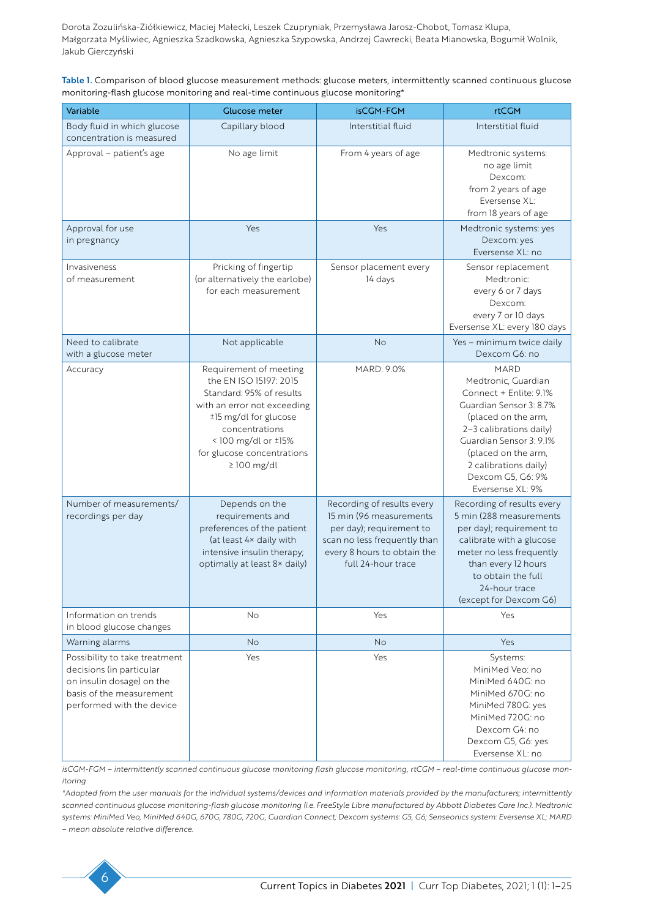Table 1. Comparison of blood glucose measurement methods: glucose meters, intermittently scanned continuous glucose monitoring-flash glucose monitoring and real-time continuous glucose monitoring\*

| Variable                                                                                                                                        | Glucose meter                                                                                                                                                                                                                  | <b>isCGM-FGM</b>                                                                                                                                                       | <b>rtCGM</b>                                                                                                                                                                                                                                                  |
|-------------------------------------------------------------------------------------------------------------------------------------------------|--------------------------------------------------------------------------------------------------------------------------------------------------------------------------------------------------------------------------------|------------------------------------------------------------------------------------------------------------------------------------------------------------------------|---------------------------------------------------------------------------------------------------------------------------------------------------------------------------------------------------------------------------------------------------------------|
| Body fluid in which glucose<br>concentration is measured                                                                                        | Capillary blood                                                                                                                                                                                                                | Interstitial fluid                                                                                                                                                     | Interstitial fluid                                                                                                                                                                                                                                            |
| Approval - patient's age                                                                                                                        | No age limit                                                                                                                                                                                                                   | From 4 years of age                                                                                                                                                    | Medtronic systems:<br>no age limit<br>Dexcom:<br>from 2 years of age<br>Eversense XL:<br>from 18 years of age                                                                                                                                                 |
| Approval for use<br>in pregnancy                                                                                                                | Yes                                                                                                                                                                                                                            | Yes                                                                                                                                                                    | Medtronic systems: yes<br>Dexcom: yes<br>Eversense XL: no                                                                                                                                                                                                     |
| Invasiveness<br>of measurement                                                                                                                  | Pricking of fingertip<br>(or alternatively the earlobe)<br>for each measurement                                                                                                                                                | Sensor placement every<br>14 days                                                                                                                                      | Sensor replacement<br>Medtronic:<br>every 6 or 7 days<br>Dexcom:<br>every 7 or 10 days<br>Eversense XL: every 180 days                                                                                                                                        |
| Need to calibrate<br>with a glucose meter                                                                                                       | Not applicable                                                                                                                                                                                                                 | <b>No</b>                                                                                                                                                              | Yes - minimum twice daily<br>Dexcom G6: no                                                                                                                                                                                                                    |
| Accuracy                                                                                                                                        | Requirement of meeting<br>the EN ISO 15197: 2015<br>Standard: 95% of results<br>with an error not exceeding<br>±15 mg/dl for glucose<br>concentrations<br><100 mg/dl or ±15%<br>for glucose concentrations<br>$\geq$ 100 mg/dl | MARD: 9.0%                                                                                                                                                             | <b>MARD</b><br>Medtronic, Guardian<br>Connect + Enlite: 9.1%<br>Guardian Sensor 3: 8.7%<br>(placed on the arm,<br>2-3 calibrations daily)<br>Guardian Sensor 3: 9.1%<br>(placed on the arm,<br>2 calibrations daily)<br>Dexcom G5, G6: 9%<br>Eversense XL: 9% |
| Number of measurements/<br>recordings per day                                                                                                   | Depends on the<br>requirements and<br>preferences of the patient<br>(at least 4x daily with<br>intensive insulin therapy;<br>optimally at least 8x daily)                                                                      | Recording of results every<br>15 min (96 measurements<br>per day); requirement to<br>scan no less frequently than<br>every 8 hours to obtain the<br>full 24-hour trace | Recording of results every<br>5 min (288 measurements<br>per day); requirement to<br>calibrate with a glucose<br>meter no less frequently<br>than every 12 hours<br>to obtain the full<br>24-hour trace<br>(except for Dexcom G6)                             |
| Information on trends<br>in blood glucose changes                                                                                               | <b>No</b>                                                                                                                                                                                                                      | Yes                                                                                                                                                                    | Yes                                                                                                                                                                                                                                                           |
| Warning alarms                                                                                                                                  | <b>No</b>                                                                                                                                                                                                                      | <b>No</b>                                                                                                                                                              | Yes                                                                                                                                                                                                                                                           |
| Possibility to take treatment<br>decisions (in particular<br>on insulin dosage) on the<br>basis of the measurement<br>performed with the device | Yes                                                                                                                                                                                                                            | Yes                                                                                                                                                                    | Systems:<br>MiniMed Veo: no<br>MiniMed 640G: no<br>MiniMed 670G: no<br>MiniMed 780G: yes<br>MiniMed 720G: no<br>Dexcom G4: no<br>Dexcom G5, G6: yes<br>Eversense XL: no                                                                                       |

*isCGM-FGM – intermittently scanned continuous glucose monitoring flash glucose monitoring, rtCGM – real-time continuous glucose monitoring*

*\*Adapted from the user manuals for the individual systems/devices and information materials provided by the manufacturers; intermittently scanned continuous glucose monitoring-flash glucose monitoring (i.e. FreeStyle Libre manufactured by Abbott Diabetes Care Inc.). Medtronic systems: MiniMed Veo, MiniMed 640G, 670G, 780G, 720G, Guardian Connect; Dexcom systems: G5, G6; Senseonics system: Eversense XL; MARD – mean absolute relative difference.*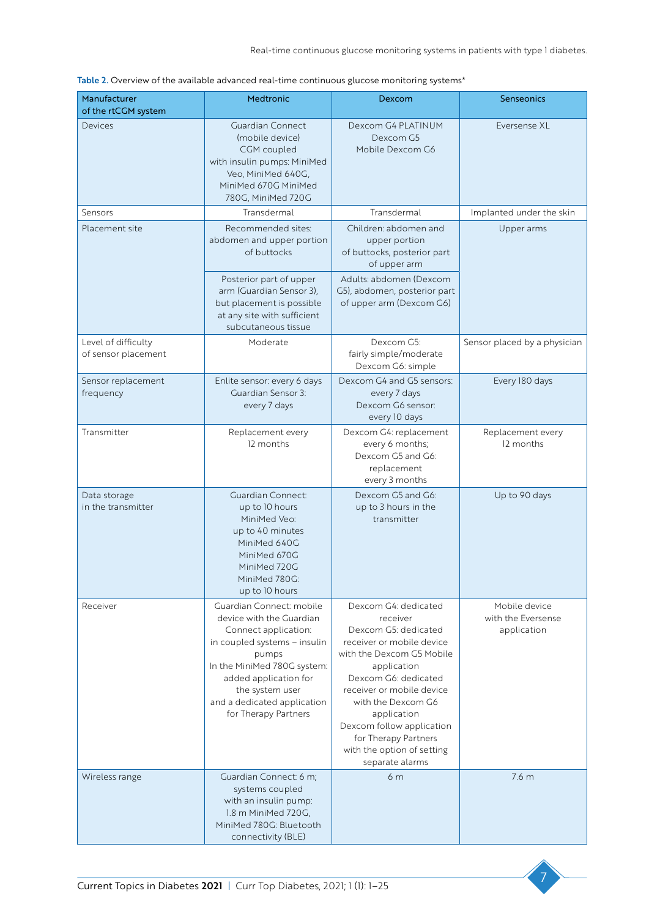| Manufacturer<br>of the rtCGM system        | Medtronic                                                                                                                                                                                                                                               | Dexcom                                                                                                                                                                                                                                                                                                                            | <b>Senseonics</b>                                  |
|--------------------------------------------|---------------------------------------------------------------------------------------------------------------------------------------------------------------------------------------------------------------------------------------------------------|-----------------------------------------------------------------------------------------------------------------------------------------------------------------------------------------------------------------------------------------------------------------------------------------------------------------------------------|----------------------------------------------------|
| Devices                                    | <b>Guardian Connect</b><br>(mobile device)<br>CGM coupled<br>with insulin pumps: MiniMed<br>Veo, MiniMed 640G,<br>MiniMed 670G MiniMed<br>780G, MiniMed 720G                                                                                            | Dexcom G4 PLATINUM<br>Dexcom G5<br>Mobile Dexcom G6                                                                                                                                                                                                                                                                               | Eversense XL                                       |
| Sensors                                    | Transdermal                                                                                                                                                                                                                                             | Transdermal                                                                                                                                                                                                                                                                                                                       | Implanted under the skin                           |
| Placement site                             | Recommended sites:<br>abdomen and upper portion<br>of buttocks                                                                                                                                                                                          | Children: abdomen and<br>upper portion<br>of buttocks, posterior part<br>of upper arm                                                                                                                                                                                                                                             | Upper arms                                         |
|                                            | Posterior part of upper<br>arm (Guardian Sensor 3),<br>but placement is possible<br>at any site with sufficient<br>subcutaneous tissue                                                                                                                  | Adults: abdomen (Dexcom<br>G5), abdomen, posterior part<br>of upper arm (Dexcom G6)                                                                                                                                                                                                                                               |                                                    |
| Level of difficulty<br>of sensor placement | Moderate                                                                                                                                                                                                                                                | Dexcom G5:<br>fairly simple/moderate<br>Dexcom G6: simple                                                                                                                                                                                                                                                                         | Sensor placed by a physician                       |
| Sensor replacement<br>frequency            | Enlite sensor: every 6 days<br>Guardian Sensor 3:<br>every 7 days                                                                                                                                                                                       | Dexcom G4 and G5 sensors:<br>every 7 days<br>Dexcom G6 sensor:<br>every 10 days                                                                                                                                                                                                                                                   | Every 180 days                                     |
| Transmitter                                | Replacement every<br>12 months                                                                                                                                                                                                                          | Dexcom G4: replacement<br>every 6 months;<br>Dexcom G5 and G6:<br>replacement<br>every 3 months                                                                                                                                                                                                                                   | Replacement every<br>12 months                     |
| Data storage<br>in the transmitter         | Guardian Connect:<br>up to 10 hours<br>MiniMed Veo:<br>up to 40 minutes<br>MiniMed 640G<br>MiniMed 670G<br>MiniMed 720G<br>MiniMed 780G:<br>up to 10 hours                                                                                              | Dexcom G5 and G6:<br>up to 3 hours in the<br>transmitter                                                                                                                                                                                                                                                                          | Up to 90 days                                      |
| Receiver                                   | Guardian Connect: mobile<br>device with the Guardian<br>Connect application:<br>in coupled systems - insulin<br>pumps<br>In the MiniMed 780G system:<br>added application for<br>the system user<br>and a dedicated application<br>for Therapy Partners | Dexcom G4: dedicated<br>receiver<br>Dexcom G5: dedicated<br>receiver or mobile device<br>with the Dexcom G5 Mobile<br>application<br>Dexcom G6: dedicated<br>receiver or mobile device<br>with the Dexcom G6<br>application<br>Dexcom follow application<br>for Therapy Partners<br>with the option of setting<br>separate alarms | Mobile device<br>with the Eversense<br>application |
| Wireless range                             | Guardian Connect: 6 m;<br>systems coupled<br>with an insulin pump:<br>1.8 m MiniMed 720G,<br>MiniMed 780G: Bluetooth<br>connectivity (BLE)                                                                                                              | 6 <sub>m</sub>                                                                                                                                                                                                                                                                                                                    | 7.6 m                                              |

| Table 2. Overview of the available advanced real-time continuous glucose monitoring systems* |  |
|----------------------------------------------------------------------------------------------|--|
|----------------------------------------------------------------------------------------------|--|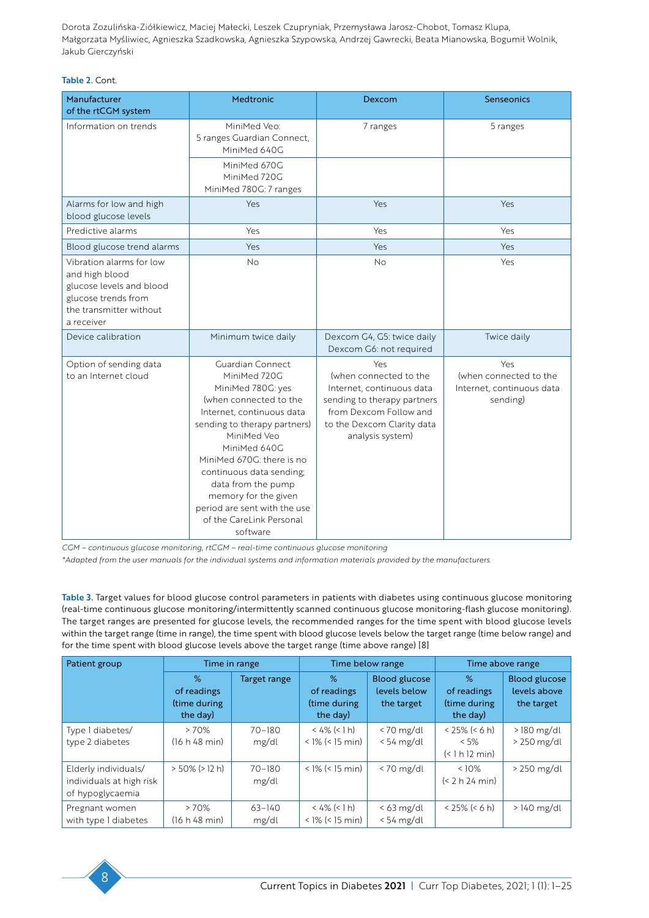#### Table 2. Cont.

| Manufacturer<br>of the rtCGM system                                                                                                    | <b>Medtronic</b>                                                                                                                                                                                                                                                                                                                                           | Dexcom                                                                                                                                                                | <b>Senseonics</b>                                                      |
|----------------------------------------------------------------------------------------------------------------------------------------|------------------------------------------------------------------------------------------------------------------------------------------------------------------------------------------------------------------------------------------------------------------------------------------------------------------------------------------------------------|-----------------------------------------------------------------------------------------------------------------------------------------------------------------------|------------------------------------------------------------------------|
| Information on trends                                                                                                                  | MiniMed Veo:<br>5 ranges Guardian Connect,<br>MiniMed 640G                                                                                                                                                                                                                                                                                                 | 7 ranges                                                                                                                                                              | 5 ranges                                                               |
|                                                                                                                                        | MiniMed 670G<br>MiniMed 720G<br>MiniMed 780G: 7 ranges                                                                                                                                                                                                                                                                                                     |                                                                                                                                                                       |                                                                        |
| Alarms for low and high<br>blood glucose levels                                                                                        | Yes                                                                                                                                                                                                                                                                                                                                                        | Yes                                                                                                                                                                   | Yes                                                                    |
| Predictive alarms                                                                                                                      | Yes                                                                                                                                                                                                                                                                                                                                                        | Yes                                                                                                                                                                   | Yes                                                                    |
| Blood glucose trend alarms                                                                                                             | Yes                                                                                                                                                                                                                                                                                                                                                        | Yes                                                                                                                                                                   | Yes                                                                    |
| Vibration alarms for low<br>and high blood<br>glucose levels and blood<br>glucose trends from<br>the transmitter without<br>a receiver | <b>No</b>                                                                                                                                                                                                                                                                                                                                                  | <b>No</b>                                                                                                                                                             | Yes                                                                    |
| Device calibration                                                                                                                     | Minimum twice daily                                                                                                                                                                                                                                                                                                                                        | Dexcom G4, G5: twice daily<br>Dexcom G6: not required                                                                                                                 | Twice daily                                                            |
| Option of sending data<br>to an Internet cloud                                                                                         | Guardian Connect<br>MiniMed 720G<br>MiniMed 780G: yes<br>(when connected to the<br>Internet, continuous data<br>sending to therapy partners)<br>MiniMed Veo<br>MiniMed 640G<br>MiniMed 670G: there is no<br>continuous data sending;<br>data from the pump<br>memory for the given<br>period are sent with the use<br>of the CareLink Personal<br>software | Yes<br>(when connected to the<br>Internet, continuous data<br>sending to therapy partners<br>from Dexcom Follow and<br>to the Dexcom Clarity data<br>analysis system) | Yes<br>(when connected to the<br>Internet, continuous data<br>sending) |

*CGM – continuous glucose monitoring, rtCGM – real-time continuous glucose monitoring*

*\*Adapted from the user manuals for the individual systems and information materials provided by the manufacturers.*

Table 3. Target values for blood glucose control parameters in patients with diabetes using continuous glucose monitoring (real-time continuous glucose monitoring/intermittently scanned continuous glucose monitoring-flash glucose monitoring). The target ranges are presented for glucose levels, the recommended ranges for the time spent with blood glucose levels within the target range (time in range), the time spent with blood glucose levels below the target range (time below range) and for the time spent with blood glucose levels above the target range (time above range) [8]

| Patient group                                                        | Time in range                                |                     | Time below range                             |                                                    | Time above range                              |                                                    |
|----------------------------------------------------------------------|----------------------------------------------|---------------------|----------------------------------------------|----------------------------------------------------|-----------------------------------------------|----------------------------------------------------|
|                                                                      | %<br>of readings<br>(time during<br>the day) | Target range        | %<br>of readings<br>(time during<br>the day) | <b>Blood glucose</b><br>levels below<br>the target | %<br>of readings<br>(time during<br>the day)  | <b>Blood glucose</b><br>levels above<br>the target |
| Type I diabetes/<br>type 2 diabetes                                  | >70%<br>(16 h 48 min)                        | $70 - 180$<br>mg/dl | $<$ 4% (< 1 h)<br>$<$ 1% ( $<$ 15 min)       | $<$ 70 mg/dl<br>$< 54$ mg/dl                       | $< 25\% (< 6 h)$<br>$< 5\%$<br>(< 1 h 12 min) | $>$ 180 mg/dl<br>$>$ 250 mg/dl                     |
| Elderly individuals/<br>individuals at high risk<br>of hypoglycaemia | $> 50\%$ ( $> 12$ h)                         | $70 - 180$<br>mg/dl | $<$ 1% ( $<$ 15 min)                         | $< 70$ mg/dl                                       | $<10\%$<br>(< 2 h 24 min)                     | > 250 mg/dl                                        |
| Pregnant women<br>with type I diabetes                               | >70%<br>(16 h 48 min)                        | $63 - 140$<br>mg/dl | $< 4\%$ (< 1 h)<br>$<$ 1% ( $<$ 15 min)      | $<$ 63 mg/dl<br>$< 54$ mg/dl                       | $< 25\% (< 6 h)$                              | $>140$ mg/dl                                       |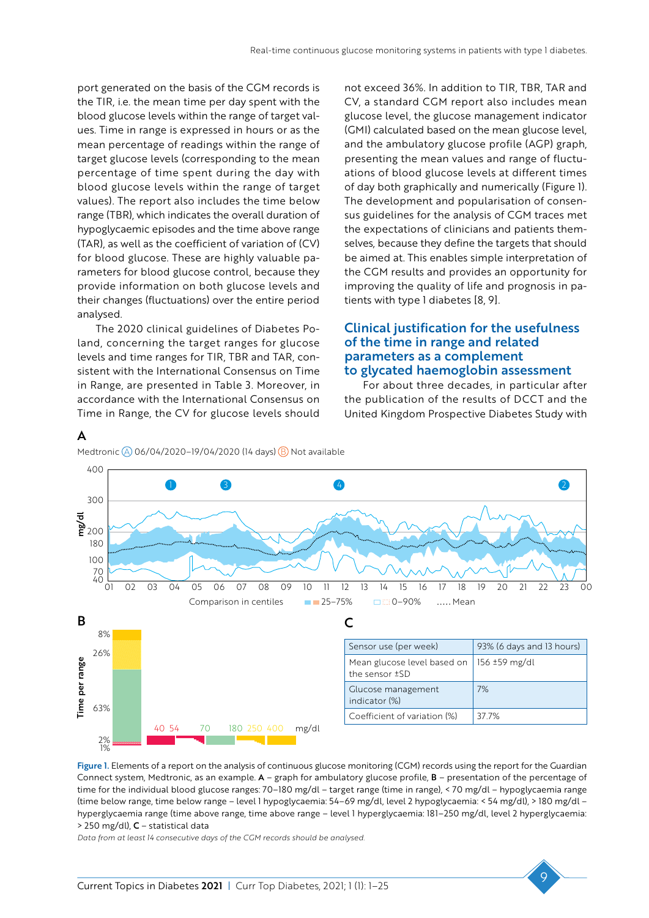port generated on the basis of the CGM records is the TIR, i.e. the mean time per day spent with the blood glucose levels within the range of target values. Time in range is expressed in hours or as the mean percentage of readings within the range of target glucose levels (corresponding to the mean percentage of time spent during the day with blood glucose levels within the range of target values). The report also includes the time below range (TBR), which indicates the overall duration of hypoglycaemic episodes and the time above range (TAR), as well as the coefficient of variation of (CV) for blood glucose. These are highly valuable parameters for blood glucose control, because they provide information on both glucose levels and their changes (fluctuations) over the entire period analysed.

The 2020 clinical guidelines of Diabetes Poland, concerning the target ranges for glucose levels and time ranges for TIR, TBR and TAR, consistent with the International Consensus on Time in Range, are presented in Table 3. Moreover, in accordance with the International Consensus on Time in Range, the CV for glucose levels should

A

not exceed 36%. In addition to TIR, TBR, TAR and CV, a standard CGM report also includes mean glucose level, the glucose management indicator (GMI) calculated based on the mean glucose level, and the ambulatory glucose profile (AGP) graph, presenting the mean values and range of fluctuations of blood glucose levels at different times of day both graphically and numerically (Figure 1). The development and popularisation of consensus guidelines for the analysis of CGM traces met the expectations of clinicians and patients themselves, because they define the targets that should be aimed at. This enables simple interpretation of the CGM results and provides an opportunity for improving the quality of life and prognosis in patients with type 1 diabetes [8, 9].

#### Clinical justification for the usefulness of the time in range and related parameters as a complement to glycated haemoglobin assessment

For about three decades, in particular after the publication of the results of DCCT and the United Kingdom Prospective Diabetes Study with



Figure 1. Elements of a report on the analysis of continuous glucose monitoring (CGM) records using the report for the Guardian Connect system, Medtronic, as an example. A – graph for ambulatory glucose profile, B – presentation of the percentage of time for the individual blood glucose ranges: 70–180 mg/dl – target range (time in range), < 70 mg/dl – hypoglycaemia range (time below range, time below range – level 1 hypoglycaemia: 54–69 mg/dl, level 2 hypoglycaemia: < 54 mg/dl), > 180 mg/dl – hyperglycaemia range (time above range, time above range – level 1 hyperglycaemia: 181–250 mg/dl, level 2 hyperglycaemia: > 250 mg/dl), C – statistical data

*Data from at least 14 consecutive days of the CGM records should be analysed.*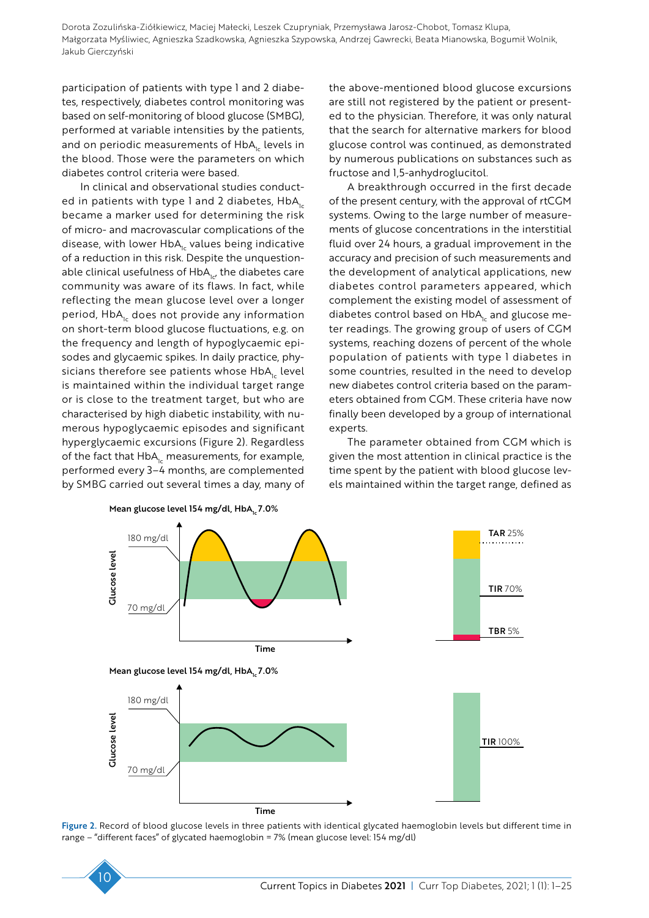participation of patients with type 1 and 2 diabetes, respectively, diabetes control monitoring was based on self-monitoring of blood glucose (SMBG), performed at variable intensities by the patients, and on periodic measurements of  $HbA<sub>1c</sub>$  levels in the blood. Those were the parameters on which diabetes control criteria were based.

In clinical and observational studies conducted in patients with type 1 and 2 diabetes,  $HbA_{1c}$ became a marker used for determining the risk of micro- and macrovascular complications of the disease, with lower  $HbA<sub>1c</sub>$  values being indicative of a reduction in this risk. Despite the unquestionable clinical usefulness of  $HbA_{1c}$ , the diabetes care community was aware of its flaws. In fact, while reflecting the mean glucose level over a longer period, HbA<sub>1c</sub> does not provide any information on short-term blood glucose fluctuations, e.g. on the frequency and length of hypoglycaemic episodes and glycaemic spikes. In daily practice, physicians therefore see patients whose  $HbA_{1c}$  level is maintained within the individual target range or is close to the treatment target, but who are characterised by high diabetic instability, with numerous hypoglycaemic episodes and significant hyperglycaemic excursions (Figure 2). Regardless of the fact that  $HbA_{1c}$  measurements, for example, performed every 3–4 months, are complemented by SMBG carried out several times a day, many of the above-mentioned blood glucose excursions are still not registered by the patient or presented to the physician. Therefore, it was only natural that the search for alternative markers for blood glucose control was continued, as demonstrated by numerous publications on substances such as fructose and 1,5-anhydroglucitol.

A breakthrough occurred in the first decade of the present century, with the approval of rtCGM systems. Owing to the large number of measurements of glucose concentrations in the interstitial fluid over 24 hours, a gradual improvement in the accuracy and precision of such measurements and the development of analytical applications, new diabetes control parameters appeared, which complement the existing model of assessment of diabetes control based on  $HbA<sub>1c</sub>$  and glucose meter readings. The growing group of users of CGM systems, reaching dozens of percent of the whole population of patients with type 1 diabetes in some countries, resulted in the need to develop new diabetes control criteria based on the parameters obtained from CGM. These criteria have now finally been developed by a group of international experts.

The parameter obtained from CGM which is given the most attention in clinical practice is the time spent by the patient with blood glucose levels maintained within the target range, defined as



Figure 2. Record of blood glucose levels in three patients with identical glycated haemoglobin levels but different time in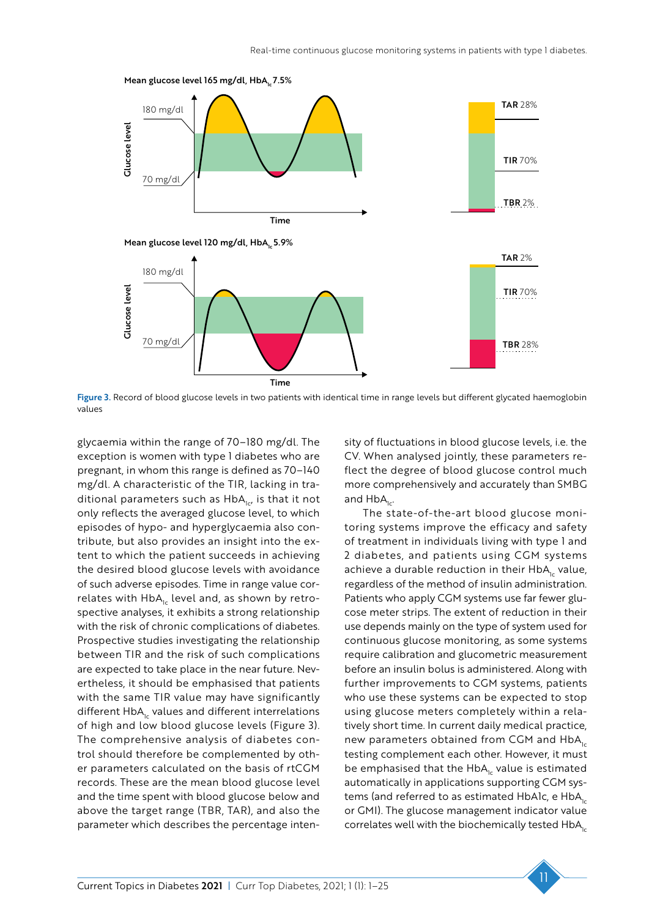

Figure 3. Record of blood glucose levels in two patients with identical time in range levels but different glycated haemoglobin values

glycaemia within the range of 70–180 mg/dl. The exception is women with type 1 diabetes who are pregnant, in whom this range is defined as 70–140 mg/dl. A characteristic of the TIR, lacking in traditional parameters such as  $HbA_{1c}$ , is that it not only reflects the averaged glucose level, to which episodes of hypo- and hyperglycaemia also contribute, but also provides an insight into the extent to which the patient succeeds in achieving the desired blood glucose levels with avoidance of such adverse episodes. Time in range value correlates with  $HbA<sub>1c</sub>$  level and, as shown by retrospective analyses, it exhibits a strong relationship with the risk of chronic complications of diabetes. Prospective studies investigating the relationship between TIR and the risk of such complications are expected to take place in the near future. Nevertheless, it should be emphasised that patients with the same TIR value may have significantly different  $HbA<sub>1c</sub>$  values and different interrelations of high and low blood glucose levels (Figure 3). The comprehensive analysis of diabetes control should therefore be complemented by other parameters calculated on the basis of rtCGM records. These are the mean blood glucose level and the time spent with blood glucose below and above the target range (TBR, TAR), and also the parameter which describes the percentage intensity of fluctuations in blood glucose levels, i.e. the CV. When analysed jointly, these parameters reflect the degree of blood glucose control much more comprehensively and accurately than SMBG and  $HbA_{1c}$ .

The state-of-the-art blood glucose monitoring systems improve the efficacy and safety of treatment in individuals living with type 1 and 2 diabetes, and patients using CGM systems achieve a durable reduction in their  $HbA<sub>1c</sub>$  value, regardless of the method of insulin administration. Patients who apply CGM systems use far fewer glucose meter strips. The extent of reduction in their use depends mainly on the type of system used for continuous glucose monitoring, as some systems require calibration and glucometric measurement before an insulin bolus is administered. Along with further improvements to CGM systems, patients who use these systems can be expected to stop using glucose meters completely within a relatively short time. In current daily medical practice, new parameters obtained from CGM and  $HbA<sub>1c</sub>$ testing complement each other. However, it must be emphasised that the  $HbA<sub>1c</sub>$  value is estimated automatically in applications supporting CGM systems (and referred to as estimated HbA1c, e HbA<sub>1c</sub> or GMI). The glucose management indicator value correlates well with the biochemically tested  $HbA_{1c}$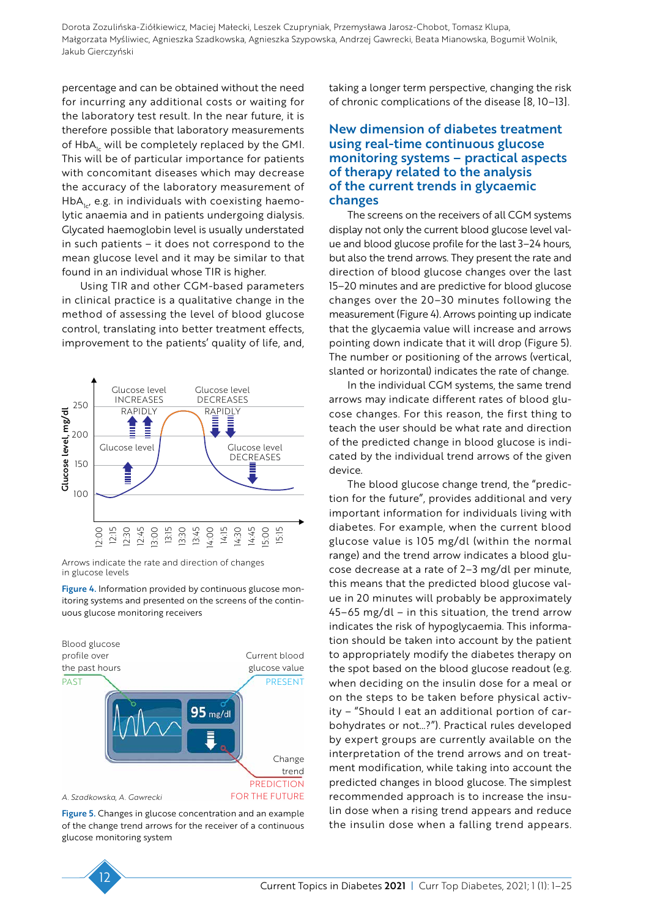percentage and can be obtained without the need for incurring any additional costs or waiting for the laboratory test result. In the near future, it is therefore possible that laboratory measurements of  $HbA_{1c}$  will be completely replaced by the GMI. This will be of particular importance for patients with concomitant diseases which may decrease the accuracy of the laboratory measurement of  $HbA<sub>1c</sub>$ , e.g. in individuals with coexisting haemolytic anaemia and in patients undergoing dialysis. Glycated haemoglobin level is usually understated in such patients – it does not correspond to the mean glucose level and it may be similar to that found in an individual whose TIR is higher.

Using TIR and other CGM-based parameters in clinical practice is a qualitative change in the method of assessing the level of blood glucose control, translating into better treatment effects, improvement to the patients' quality of life, and,



Arrows indicate the rate and direction of changes in glucose levels

Figure 4. Information provided by continuous glucose monitoring systems and presented on the screens of the continuous glucose monitoring receivers



Figure 5. Changes in glucose concentration and an example of the change trend arrows for the receiver of a continuous glucose monitoring system

#### New dimension of diabetes treatment using real-time continuous glucose monitoring systems – practical aspects of therapy related to the analysis of the current trends in glycaemic changes

The screens on the receivers of all CGM systems display not only the current blood glucose level value and blood glucose profile for the last 3–24 hours, but also the trend arrows. They present the rate and direction of blood glucose changes over the last 15–20 minutes and are predictive for blood glucose changes over the 20–30 minutes following the measurement (Figure 4). Arrows pointing up indicate that the glycaemia value will increase and arrows pointing down indicate that it will drop (Figure 5). The number or positioning of the arrows (vertical, slanted or horizontal) indicates the rate of change.

In the individual CGM systems, the same trend arrows may indicate different rates of blood glucose changes. For this reason, the first thing to teach the user should be what rate and direction of the predicted change in blood glucose is indicated by the individual trend arrows of the given device.

The blood glucose change trend, the "prediction for the future", provides additional and very important information for individuals living with diabetes. For example, when the current blood glucose value is 105 mg/dl (within the normal range) and the trend arrow indicates a blood glucose decrease at a rate of 2–3 mg/dl per minute, this means that the predicted blood glucose value in 20 minutes will probably be approximately 45–65 mg/dl – in this situation, the trend arrow indicates the risk of hypoglycaemia. This information should be taken into account by the patient to appropriately modify the diabetes therapy on the spot based on the blood glucose readout (e.g. when deciding on the insulin dose for a meal or on the steps to be taken before physical activity – "Should I eat an additional portion of carbohydrates or not…?"). Practical rules developed by expert groups are currently available on the interpretation of the trend arrows and on treatment modification, while taking into account the predicted changes in blood glucose. The simplest recommended approach is to increase the insulin dose when a rising trend appears and reduce the insulin dose when a falling trend appears.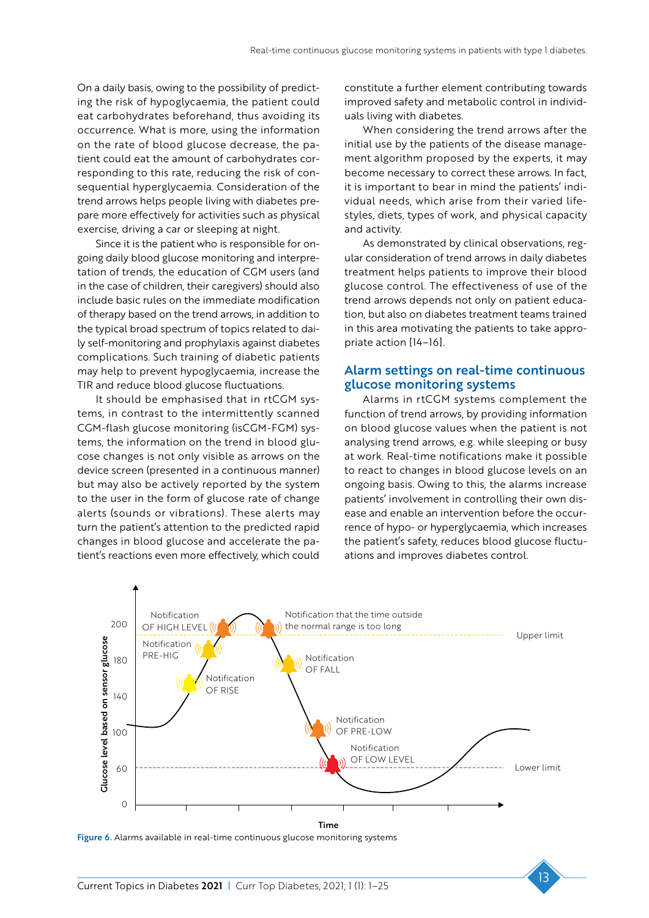On a daily basis, owing to the possibility of predicting the risk of hypoglycaemia, the patient could eat carbohydrates beforehand, thus avoiding its occurrence. What is more, using the information on the rate of blood glucose decrease, the patient could eat the amount of carbohydrates corresponding to this rate, reducing the risk of consequential hyperglycaemia. Consideration of the trend arrows helps people living with diabetes prepare more effectively for activities such as physical exercise, driving a car or sleeping at night.

Since it is the patient who is responsible for ongoing daily blood glucose monitoring and interpretation of trends, the education of CGM users (and in the case of children, their caregivers) should also include basic rules on the immediate modification of therapy based on the trend arrows, in addition to the typical broad spectrum of topics related to daily self-monitoring and prophylaxis against diabetes complications. Such training of diabetic patients may help to prevent hypoglycaemia, increase the TIR and reduce blood glucose fluctuations.

It should be emphasised that in rtCGM systems, in contrast to the intermittently scanned CGM-flash glucose monitoring (isCGM-FGM) systems, the information on the trend in blood glucose changes is not only visible as arrows on the device screen (presented in a continuous manner) but may also be actively reported by the system to the user in the form of glucose rate of change alerts (sounds or vibrations). These alerts may turn the patient's attention to the predicted rapid changes in blood glucose and accelerate the patient's reactions even more effectively, which could

constitute a further element contributing towards improved safety and metabolic control in individuals living with diabetes.

When considering the trend arrows after the initial use by the patients of the disease management algorithm proposed by the experts, it may become necessary to correct these arrows. In fact, it is important to bear in mind the patients' individual needs, which arise from their varied lifestyles, diets, types of work, and physical capacity and activity.

As demonstrated by clinical observations, regular consideration of trend arrows in daily diabetes treatment helps patients to improve their blood glucose control. The effectiveness of use of the trend arrows depends not only on patient education, but also on diabetes treatment teams trained in this area motivating the patients to take appropriate action [14–16].

#### Alarm settings on real-time continuous glucose monitoring systems

Alarms in rtCGM systems complement the function of trend arrows, by providing information on blood glucose values when the patient is not analysing trend arrows, e.g. while sleeping or busy at work. Real-time notifications make it possible to react to changes in blood glucose levels on an ongoing basis. Owing to this, the alarms increase patients' involvement in controlling their own disease and enable an intervention before the occurrence of hypo- or hyperglycaemia, which increases the patient's safety, reduces blood glucose fluctuations and improves diabetes control.



Figure 6. Alarms available in real-time continuous glucose monitoring systems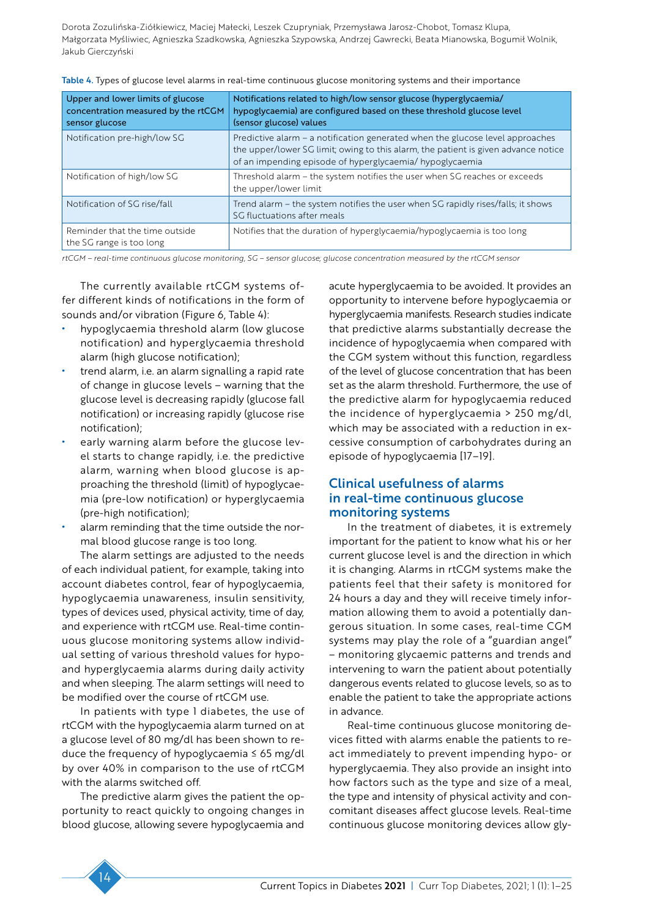| Upper and lower limits of glucose<br>concentration measured by the rtCGM<br>sensor glucose | Notifications related to high/low sensor glucose (hyperglycaemia/<br>hypoglycaemia) are configured based on these threshold glucose level<br>(sensor glucose) values                                                            |
|--------------------------------------------------------------------------------------------|---------------------------------------------------------------------------------------------------------------------------------------------------------------------------------------------------------------------------------|
| Notification pre-high/low SG                                                               | Predictive alarm – a notification generated when the glucose level approaches<br>the upper/lower SG limit; owing to this alarm, the patient is given advance notice<br>of an impending episode of hyperglycaemia/ hypoglycaemia |
| Notification of high/low SG                                                                | Threshold alarm - the system notifies the user when SG reaches or exceeds<br>the upper/lower limit                                                                                                                              |
| Notification of SG rise/fall                                                               | Trend alarm – the system notifies the user when SG rapidly rises/falls; it shows<br>SG fluctuations after meals                                                                                                                 |
| Reminder that the time outside<br>the SG range is too long                                 | Notifies that the duration of hyperglycaemia/hypoglycaemia is too long                                                                                                                                                          |

Table 4. Types of glucose level alarms in real-time continuous glucose monitoring systems and their importance

*rtCGM – real-time continuous glucose monitoring, SG – sensor glucose; glucose concentration measured by the rtCGM sensor*

The currently available rtCGM systems offer different kinds of notifications in the form of sounds and/or vibration (Figure 6, Table 4):

- hypoglycaemia threshold alarm (low glucose notification) and hyperglycaemia threshold alarm (high glucose notification);
- trend alarm, i.e. an alarm signalling a rapid rate of change in glucose levels – warning that the glucose level is decreasing rapidly (glucose fall notification) or increasing rapidly (glucose rise notification);
- early warning alarm before the glucose level starts to change rapidly, i.e. the predictive alarm, warning when blood glucose is approaching the threshold (limit) of hypoglycaemia (pre-low notification) or hyperglycaemia (pre-high notification);
- alarm reminding that the time outside the normal blood glucose range is too long.

The alarm settings are adjusted to the needs of each individual patient, for example, taking into account diabetes control, fear of hypoglycaemia, hypoglycaemia unawareness, insulin sensitivity, types of devices used, physical activity, time of day, and experience with rtCGM use. Real-time continuous glucose monitoring systems allow individual setting of various threshold values for hypoand hyperglycaemia alarms during daily activity and when sleeping. The alarm settings will need to be modified over the course of rtCGM use.

In patients with type 1 diabetes, the use of rtCGM with the hypoglycaemia alarm turned on at a glucose level of 80 mg/dl has been shown to reduce the frequency of hypoglycaemia ≤ 65 mg/dl by over 40% in comparison to the use of rtCGM with the alarms switched off.

The predictive alarm gives the patient the opportunity to react quickly to ongoing changes in blood glucose, allowing severe hypoglycaemia and

acute hyperglycaemia to be avoided. It provides an opportunity to intervene before hypoglycaemia or hyperglycaemia manifests. Research studies indicate that predictive alarms substantially decrease the incidence of hypoglycaemia when compared with the CGM system without this function, regardless of the level of glucose concentration that has been set as the alarm threshold. Furthermore, the use of the predictive alarm for hypoglycaemia reduced the incidence of hyperglycaemia > 250 mg/dl, which may be associated with a reduction in excessive consumption of carbohydrates during an episode of hypoglycaemia [17–19].

# Clinical usefulness of alarms in real-time continuous glucose monitoring systems

In the treatment of diabetes, it is extremely important for the patient to know what his or her current glucose level is and the direction in which it is changing. Alarms in rtCGM systems make the patients feel that their safety is monitored for 24 hours a day and they will receive timely information allowing them to avoid a potentially dangerous situation. In some cases, real-time CGM systems may play the role of a "guardian angel" – monitoring glycaemic patterns and trends and intervening to warn the patient about potentially dangerous events related to glucose levels, so as to enable the patient to take the appropriate actions in advance.

Real-time continuous glucose monitoring devices fitted with alarms enable the patients to react immediately to prevent impending hypo- or hyperglycaemia. They also provide an insight into how factors such as the type and size of a meal, the type and intensity of physical activity and concomitant diseases affect glucose levels. Real-time continuous glucose monitoring devices allow gly-

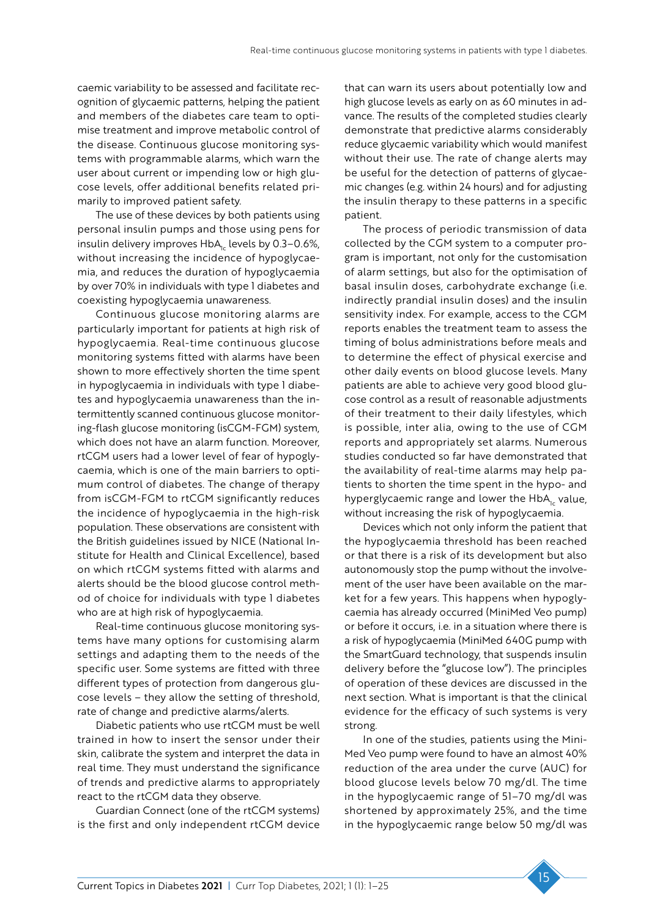caemic variability to be assessed and facilitate recognition of glycaemic patterns, helping the patient and members of the diabetes care team to optimise treatment and improve metabolic control of the disease. Continuous glucose monitoring systems with programmable alarms, which warn the user about current or impending low or high glucose levels, offer additional benefits related primarily to improved patient safety.

The use of these devices by both patients using personal insulin pumps and those using pens for insulin delivery improves  $HbA<sub>1c</sub>$  levels by 0.3–0.6%, without increasing the incidence of hypoglycaemia, and reduces the duration of hypoglycaemia by over 70% in individuals with type 1 diabetes and coexisting hypoglycaemia unawareness.

Continuous glucose monitoring alarms are particularly important for patients at high risk of hypoglycaemia. Real-time continuous glucose monitoring systems fitted with alarms have been shown to more effectively shorten the time spent in hypoglycaemia in individuals with type 1 diabetes and hypoglycaemia unawareness than the intermittently scanned continuous glucose monitoring-flash glucose monitoring (isCGM-FGM) system, which does not have an alarm function. Moreover, rtCGM users had a lower level of fear of hypoglycaemia, which is one of the main barriers to optimum control of diabetes. The change of therapy from isCGM-FGM to rtCGM significantly reduces the incidence of hypoglycaemia in the high-risk population. These observations are consistent with the British guidelines issued by NICE (National Institute for Health and Clinical Excellence), based on which rtCGM systems fitted with alarms and alerts should be the blood glucose control method of choice for individuals with type 1 diabetes who are at high risk of hypoglycaemia.

Real-time continuous glucose monitoring systems have many options for customising alarm settings and adapting them to the needs of the specific user. Some systems are fitted with three different types of protection from dangerous glucose levels – they allow the setting of threshold, rate of change and predictive alarms/alerts.

Diabetic patients who use rtCGM must be well trained in how to insert the sensor under their skin, calibrate the system and interpret the data in real time. They must understand the significance of trends and predictive alarms to appropriately react to the rtCGM data they observe.

Guardian Connect (one of the rtCGM systems) is the first and only independent rtCGM device

that can warn its users about potentially low and high glucose levels as early on as 60 minutes in advance. The results of the completed studies clearly demonstrate that predictive alarms considerably reduce glycaemic variability which would manifest without their use. The rate of change alerts may be useful for the detection of patterns of glycaemic changes (e.g. within 24 hours) and for adjusting the insulin therapy to these patterns in a specific patient.

The process of periodic transmission of data collected by the CGM system to a computer program is important, not only for the customisation of alarm settings, but also for the optimisation of basal insulin doses, carbohydrate exchange (i.e. indirectly prandial insulin doses) and the insulin sensitivity index. For example, access to the CGM reports enables the treatment team to assess the timing of bolus administrations before meals and to determine the effect of physical exercise and other daily events on blood glucose levels. Many patients are able to achieve very good blood glucose control as a result of reasonable adjustments of their treatment to their daily lifestyles, which is possible, inter alia, owing to the use of CGM reports and appropriately set alarms. Numerous studies conducted so far have demonstrated that the availability of real-time alarms may help patients to shorten the time spent in the hypo- and hyperglycaemic range and lower the  $HbA<sub>1c</sub>$  value, without increasing the risk of hypoglycaemia.

Devices which not only inform the patient that the hypoglycaemia threshold has been reached or that there is a risk of its development but also autonomously stop the pump without the involvement of the user have been available on the market for a few years. This happens when hypoglycaemia has already occurred (MiniMed Veo pump) or before it occurs, i.e. in a situation where there is a risk of hypoglycaemia (MiniMed 640G pump with the SmartGuard technology, that suspends insulin delivery before the "glucose low"). The principles of operation of these devices are discussed in the next section. What is important is that the clinical evidence for the efficacy of such systems is very strong.

In one of the studies, patients using the Mini-Med Veo pump were found to have an almost 40% reduction of the area under the curve (AUC) for blood glucose levels below 70 mg/dl. The time in the hypoglycaemic range of 51–70 mg/dl was shortened by approximately 25%, and the time in the hypoglycaemic range below 50 mg/dl was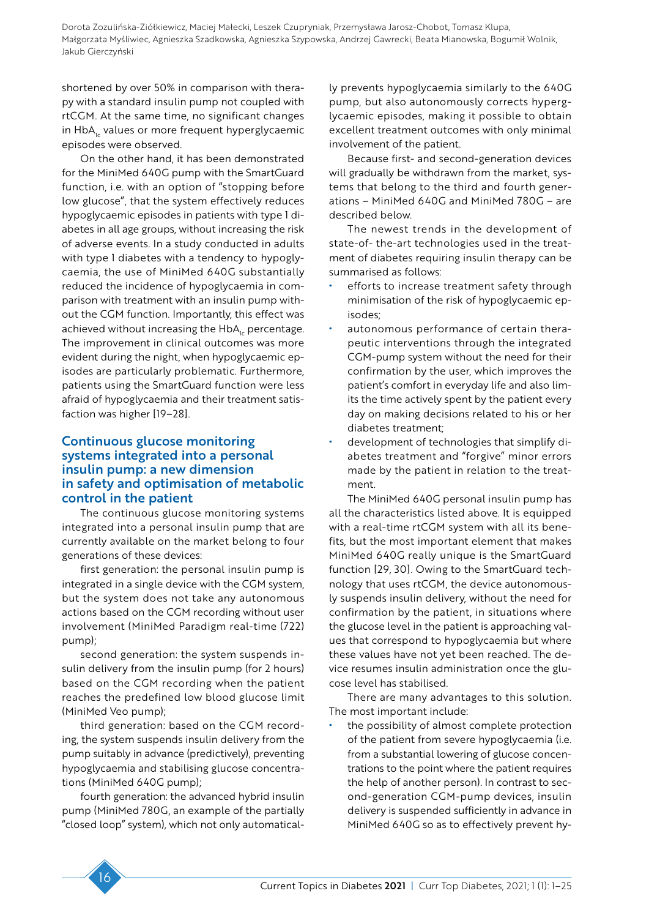shortened by over 50% in comparison with therapy with a standard insulin pump not coupled with rtCGM. At the same time, no significant changes in HbA<sub>1c</sub> values or more frequent hyperglycaemic episodes were observed.

On the other hand, it has been demonstrated for the MiniMed 640G pump with the SmartGuard function, i.e. with an option of "stopping before low glucose", that the system effectively reduces hypoglycaemic episodes in patients with type 1 diabetes in all age groups, without increasing the risk of adverse events. In a study conducted in adults with type 1 diabetes with a tendency to hypoglycaemia, the use of MiniMed 640G substantially reduced the incidence of hypoglycaemia in comparison with treatment with an insulin pump without the CGM function. Importantly, this effect was achieved without increasing the  $HbA<sub>c</sub>$  percentage. The improvement in clinical outcomes was more evident during the night, when hypoglycaemic episodes are particularly problematic. Furthermore, patients using the SmartGuard function were less afraid of hypoglycaemia and their treatment satisfaction was higher [19–28].

## Continuous glucose monitoring systems integrated into a personal insulin pump: a new dimension in safety and optimisation of metabolic control in the patient

The continuous glucose monitoring systems integrated into a personal insulin pump that are currently available on the market belong to four generations of these devices:

first generation: the personal insulin pump is integrated in a single device with the CGM system, but the system does not take any autonomous actions based on the CGM recording without user involvement (MiniMed Paradigm real-time (722) pump);

second generation: the system suspends insulin delivery from the insulin pump (for 2 hours) based on the CGM recording when the patient reaches the predefined low blood glucose limit (MiniMed Veo pump);

third generation: based on the CGM recording, the system suspends insulin delivery from the pump suitably in advance (predictively), preventing hypoglycaemia and stabilising glucose concentrations (MiniMed 640G pump);

fourth generation: the advanced hybrid insulin pump (MiniMed 780G, an example of the partially "closed loop" system), which not only automatically prevents hypoglycaemia similarly to the 640G pump, but also autonomously corrects hyperglycaemic episodes, making it possible to obtain excellent treatment outcomes with only minimal involvement of the patient.

Because first- and second-generation devices will gradually be withdrawn from the market, systems that belong to the third and fourth generations – MiniMed 640G and MiniMed 780G – are described below.

The newest trends in the development of state-of- the-art technologies used in the treatment of diabetes requiring insulin therapy can be summarised as follows:

- efforts to increase treatment safety through minimisation of the risk of hypoglycaemic episodes;
- autonomous performance of certain therapeutic interventions through the integrated CGM-pump system without the need for their confirmation by the user, which improves the patient's comfort in everyday life and also limits the time actively spent by the patient every day on making decisions related to his or her diabetes treatment;
- development of technologies that simplify diabetes treatment and "forgive" minor errors made by the patient in relation to the treatment.

The MiniMed 640G personal insulin pump has all the characteristics listed above. It is equipped with a real-time rtCGM system with all its benefits, but the most important element that makes MiniMed 640G really unique is the SmartGuard function [29, 30]. Owing to the SmartGuard technology that uses rtCGM, the device autonomously suspends insulin delivery, without the need for confirmation by the patient, in situations where the glucose level in the patient is approaching values that correspond to hypoglycaemia but where these values have not yet been reached. The device resumes insulin administration once the glucose level has stabilised.

There are many advantages to this solution. The most important include:

the possibility of almost complete protection of the patient from severe hypoglycaemia (i.e. from a substantial lowering of glucose concentrations to the point where the patient requires the help of another person). In contrast to second-generation CGM-pump devices, insulin delivery is suspended sufficiently in advance in MiniMed 640G so as to effectively prevent hy-

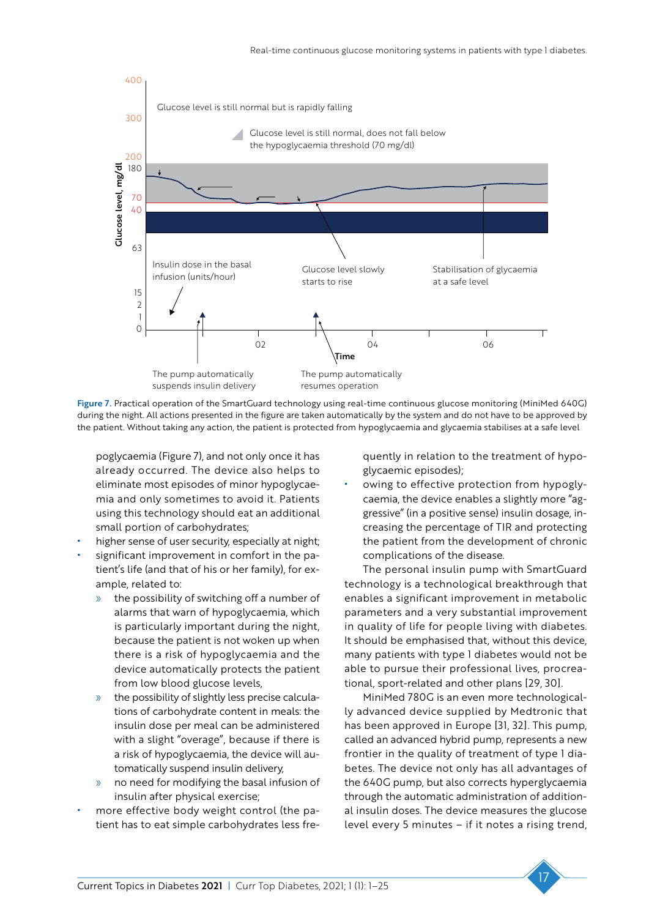

Figure 7. Practical operation of the SmartGuard technology using real-time continuous glucose monitoring (MiniMed 640G) during the night. All actions presented in the figure are taken automatically by the system and do not have to be approved by the patient. Without taking any action, the patient is protected from hypoglycaemia and glycaemia stabilises at a safe level

poglycaemia (Figure 7), and not only once it has already occurred. The device also helps to eliminate most episodes of minor hypoglycaemia and only sometimes to avoid it. Patients using this technology should eat an additional small portion of carbohydrates;

- higher sense of user security, especially at night;
- significant improvement in comfort in the patient's life (and that of his or her family), for example, related to:
	- the possibility of switching off a number of alarms that warn of hypoglycaemia, which is particularly important during the night, because the patient is not woken up when there is a risk of hypoglycaemia and the device automatically protects the patient from low blood glucose levels,
	- » the possibility of slightly less precise calculations of carbohydrate content in meals: the insulin dose per meal can be administered with a slight "overage", because if there is a risk of hypoglycaemia, the device will automatically suspend insulin delivery,
	- » no need for modifying the basal infusion of insulin after physical exercise;
- more effective body weight control (the patient has to eat simple carbohydrates less fre-

quently in relation to the treatment of hypoglycaemic episodes);

owing to effective protection from hypoglycaemia, the device enables a slightly more "aggressive" (in a positive sense) insulin dosage, increasing the percentage of TIR and protecting the patient from the development of chronic complications of the disease.

The personal insulin pump with SmartGuard technology is a technological breakthrough that enables a significant improvement in metabolic parameters and a very substantial improvement in quality of life for people living with diabetes. It should be emphasised that, without this device, many patients with type 1 diabetes would not be able to pursue their professional lives, procreational, sport-related and other plans [29, 30].

MiniMed 780G is an even more technologically advanced device supplied by Medtronic that has been approved in Europe [31, 32]. This pump, called an advanced hybrid pump, represents a new frontier in the quality of treatment of type 1 diabetes. The device not only has all advantages of the 640G pump, but also corrects hyperglycaemia through the automatic administration of additional insulin doses. The device measures the glucose level every 5 minutes – if it notes a rising trend,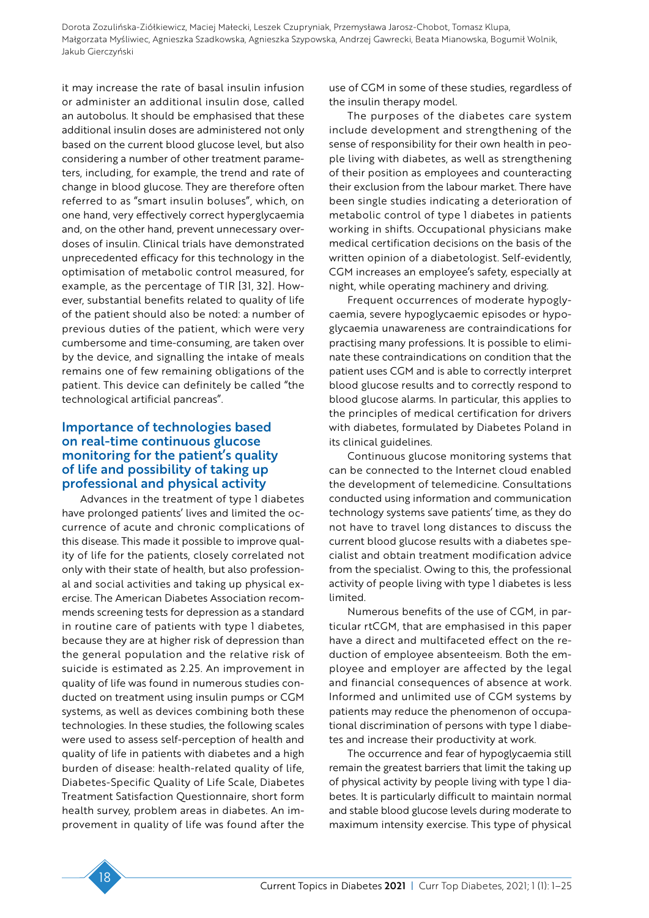it may increase the rate of basal insulin infusion or administer an additional insulin dose, called an autobolus. It should be emphasised that these additional insulin doses are administered not only based on the current blood glucose level, but also considering a number of other treatment parameters, including, for example, the trend and rate of change in blood glucose. They are therefore often referred to as "smart insulin boluses", which, on one hand, very effectively correct hyperglycaemia and, on the other hand, prevent unnecessary overdoses of insulin. Clinical trials have demonstrated unprecedented efficacy for this technology in the optimisation of metabolic control measured, for example, as the percentage of TIR [31, 32]. However, substantial benefits related to quality of life of the patient should also be noted: a number of previous duties of the patient, which were very cumbersome and time-consuming, are taken over by the device, and signalling the intake of meals remains one of few remaining obligations of the patient. This device can definitely be called "the technological artificial pancreas".

# Importance of technologies based on real-time continuous glucose monitoring for the patient's quality of life and possibility of taking up professional and physical activity

Advances in the treatment of type 1 diabetes have prolonged patients' lives and limited the occurrence of acute and chronic complications of this disease. This made it possible to improve quality of life for the patients, closely correlated not only with their state of health, but also professional and social activities and taking up physical exercise. The American Diabetes Association recommends screening tests for depression as a standard in routine care of patients with type 1 diabetes, because they are at higher risk of depression than the general population and the relative risk of suicide is estimated as 2.25. An improvement in quality of life was found in numerous studies conducted on treatment using insulin pumps or CGM systems, as well as devices combining both these technologies. In these studies, the following scales were used to assess self-perception of health and quality of life in patients with diabetes and a high burden of disease: health-related quality of life, Diabetes-Specific Quality of Life Scale, Diabetes Treatment Satisfaction Questionnaire, short form health survey, problem areas in diabetes. An improvement in quality of life was found after the

use of CGM in some of these studies, regardless of the insulin therapy model.

The purposes of the diabetes care system include development and strengthening of the sense of responsibility for their own health in people living with diabetes, as well as strengthening of their position as employees and counteracting their exclusion from the labour market. There have been single studies indicating a deterioration of metabolic control of type 1 diabetes in patients working in shifts. Occupational physicians make medical certification decisions on the basis of the written opinion of a diabetologist. Self-evidently, CGM increases an employee's safety, especially at night, while operating machinery and driving.

Frequent occurrences of moderate hypoglycaemia, severe hypoglycaemic episodes or hypoglycaemia unawareness are contraindications for practising many professions. It is possible to eliminate these contraindications on condition that the patient uses CGM and is able to correctly interpret blood glucose results and to correctly respond to blood glucose alarms. In particular, this applies to the principles of medical certification for drivers with diabetes, formulated by Diabetes Poland in its clinical guidelines.

Continuous glucose monitoring systems that can be connected to the Internet cloud enabled the development of telemedicine. Consultations conducted using information and communication technology systems save patients' time, as they do not have to travel long distances to discuss the current blood glucose results with a diabetes specialist and obtain treatment modification advice from the specialist. Owing to this, the professional activity of people living with type 1 diabetes is less limited.

Numerous benefits of the use of CGM, in particular rtCGM, that are emphasised in this paper have a direct and multifaceted effect on the reduction of employee absenteeism. Both the employee and employer are affected by the legal and financial consequences of absence at work. Informed and unlimited use of CGM systems by patients may reduce the phenomenon of occupational discrimination of persons with type 1 diabetes and increase their productivity at work.

The occurrence and fear of hypoglycaemia still remain the greatest barriers that limit the taking up of physical activity by people living with type 1 diabetes. It is particularly difficult to maintain normal and stable blood glucose levels during moderate to maximum intensity exercise. This type of physical

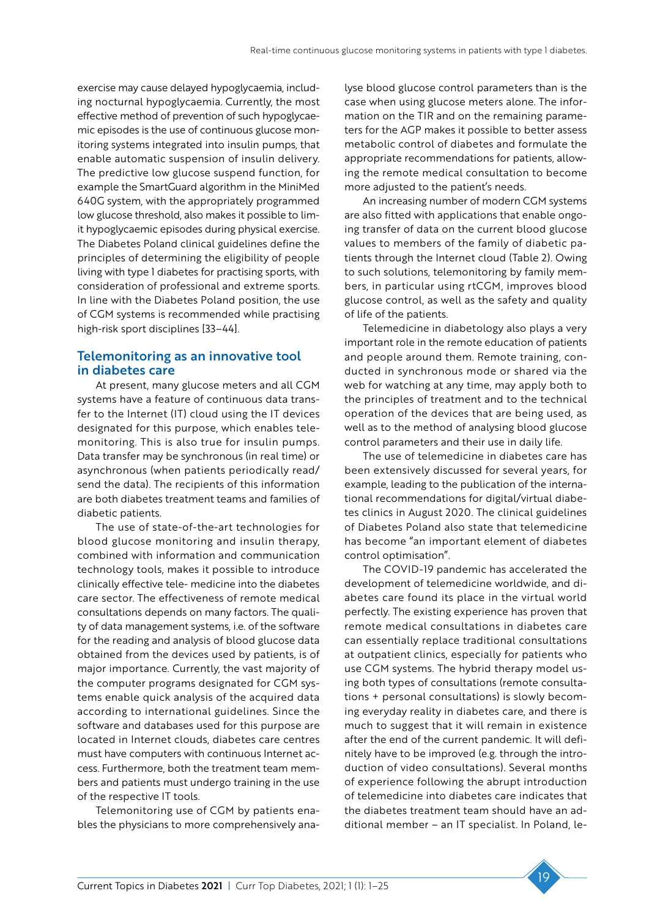exercise may cause delayed hypoglycaemia, including nocturnal hypoglycaemia. Currently, the most effective method of prevention of such hypoglycaemic episodes is the use of continuous glucose monitoring systems integrated into insulin pumps, that enable automatic suspension of insulin delivery. The predictive low glucose suspend function, for example the SmartGuard algorithm in the MiniMed 640G system, with the appropriately programmed low glucose threshold, also makes it possible to limit hypoglycaemic episodes during physical exercise. The Diabetes Poland clinical guidelines define the principles of determining the eligibility of people living with type 1 diabetes for practising sports, with consideration of professional and extreme sports. In line with the Diabetes Poland position, the use of CGM systems is recommended while practising high-risk sport disciplines [33–44].

# Telemonitoring as an innovative tool in diabetes care

At present, many glucose meters and all CGM systems have a feature of continuous data transfer to the Internet (IT) cloud using the IT devices designated for this purpose, which enables telemonitoring. This is also true for insulin pumps. Data transfer may be synchronous (in real time) or asynchronous (when patients periodically read/ send the data). The recipients of this information are both diabetes treatment teams and families of diabetic patients.

The use of state-of-the-art technologies for blood glucose monitoring and insulin therapy, combined with information and communication technology tools, makes it possible to introduce clinically effective tele- medicine into the diabetes care sector. The effectiveness of remote medical consultations depends on many factors. The quality of data management systems, i.e. of the software for the reading and analysis of blood glucose data obtained from the devices used by patients, is of major importance. Currently, the vast majority of the computer programs designated for CGM systems enable quick analysis of the acquired data according to international guidelines. Since the software and databases used for this purpose are located in Internet clouds, diabetes care centres must have computers with continuous Internet access. Furthermore, both the treatment team members and patients must undergo training in the use of the respective IT tools.

Telemonitoring use of CGM by patients enables the physicians to more comprehensively analyse blood glucose control parameters than is the case when using glucose meters alone. The information on the TIR and on the remaining parameters for the AGP makes it possible to better assess metabolic control of diabetes and formulate the appropriate recommendations for patients, allowing the remote medical consultation to become more adjusted to the patient's needs.

An increasing number of modern CGM systems are also fitted with applications that enable ongoing transfer of data on the current blood glucose values to members of the family of diabetic patients through the Internet cloud (Table 2). Owing to such solutions, telemonitoring by family members, in particular using rtCGM, improves blood glucose control, as well as the safety and quality of life of the patients.

Telemedicine in diabetology also plays a very important role in the remote education of patients and people around them. Remote training, conducted in synchronous mode or shared via the web for watching at any time, may apply both to the principles of treatment and to the technical operation of the devices that are being used, as well as to the method of analysing blood glucose control parameters and their use in daily life.

The use of telemedicine in diabetes care has been extensively discussed for several years, for example, leading to the publication of the international recommendations for digital/virtual diabetes clinics in August 2020. The clinical guidelines of Diabetes Poland also state that telemedicine has become "an important element of diabetes control optimisation".

The COVID-19 pandemic has accelerated the development of telemedicine worldwide, and diabetes care found its place in the virtual world perfectly. The existing experience has proven that remote medical consultations in diabetes care can essentially replace traditional consultations at outpatient clinics, especially for patients who use CGM systems. The hybrid therapy model using both types of consultations (remote consultations + personal consultations) is slowly becoming everyday reality in diabetes care, and there is much to suggest that it will remain in existence after the end of the current pandemic. It will definitely have to be improved (e.g. through the introduction of video consultations). Several months of experience following the abrupt introduction of telemedicine into diabetes care indicates that the diabetes treatment team should have an additional member – an IT specialist. In Poland, le-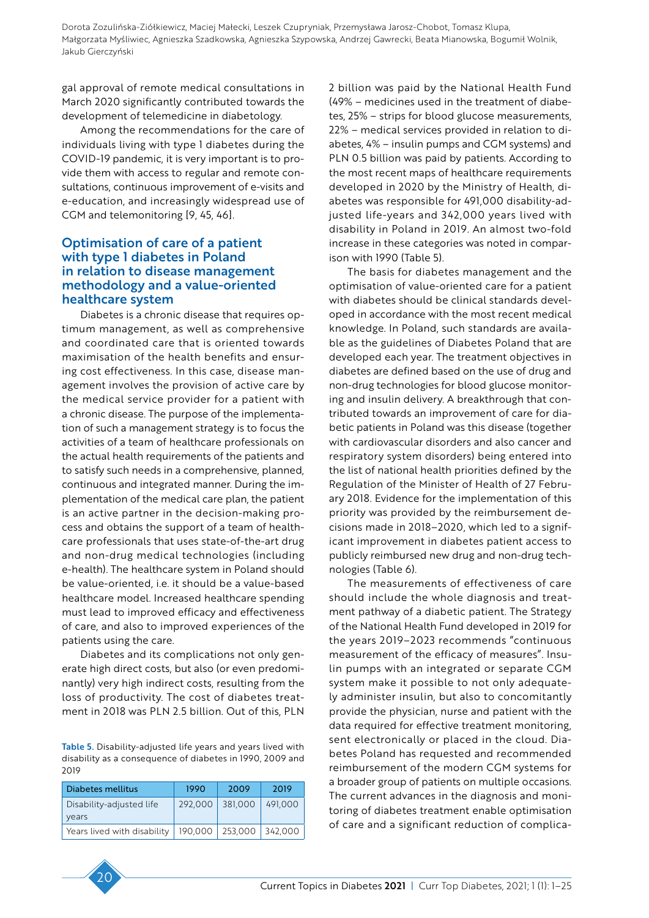gal approval of remote medical consultations in March 2020 significantly contributed towards the development of telemedicine in diabetology.

Among the recommendations for the care of individuals living with type 1 diabetes during the COVID-19 pandemic, it is very important is to provide them with access to regular and remote consultations, continuous improvement of e-visits and e-education, and increasingly widespread use of CGM and telemonitoring [9, 45, 46].

## Optimisation of care of a patient with type 1 diabetes in Poland in relation to disease management methodology and a value-oriented healthcare system

Diabetes is a chronic disease that requires optimum management, as well as comprehensive and coordinated care that is oriented towards maximisation of the health benefits and ensuring cost effectiveness. In this case, disease management involves the provision of active care by the medical service provider for a patient with a chronic disease. The purpose of the implementation of such a management strategy is to focus the activities of a team of healthcare professionals on the actual health requirements of the patients and to satisfy such needs in a comprehensive, planned, continuous and integrated manner. During the implementation of the medical care plan, the patient is an active partner in the decision-making process and obtains the support of a team of healthcare professionals that uses state-of-the-art drug and non-drug medical technologies (including e-health). The healthcare system in Poland should be value-oriented, i.e. it should be a value-based healthcare model. Increased healthcare spending must lead to improved efficacy and effectiveness of care, and also to improved experiences of the patients using the care.

Diabetes and its complications not only generate high direct costs, but also (or even predominantly) very high indirect costs, resulting from the loss of productivity. The cost of diabetes treatment in 2018 was PLN 2.5 billion. Out of this, PLN

Table 5. Disability-adjusted life years and years lived with disability as a consequence of diabetes in 1990, 2009 and 2019

| Diabetes mellitus                 | 1990    | 2009    | 2019    |
|-----------------------------------|---------|---------|---------|
| Disability-adjusted life<br>years | 292,000 | 381,000 | 491,000 |
| Years lived with disability       | 190.000 | 253,000 | 342.000 |

2 billion was paid by the National Health Fund (49% – medicines used in the treatment of diabetes, 25% – strips for blood glucose measurements, 22% – medical services provided in relation to diabetes, 4% – insulin pumps and CGM systems) and PLN 0.5 billion was paid by patients. According to the most recent maps of healthcare requirements developed in 2020 by the Ministry of Health, diabetes was responsible for 491,000 disability-adjusted life-years and 342,000 years lived with disability in Poland in 2019. An almost two-fold increase in these categories was noted in comparison with 1990 (Table 5).

The basis for diabetes management and the optimisation of value-oriented care for a patient with diabetes should be clinical standards developed in accordance with the most recent medical knowledge. In Poland, such standards are available as the guidelines of Diabetes Poland that are developed each year. The treatment objectives in diabetes are defined based on the use of drug and non-drug technologies for blood glucose monitoring and insulin delivery. A breakthrough that contributed towards an improvement of care for diabetic patients in Poland was this disease (together with cardiovascular disorders and also cancer and respiratory system disorders) being entered into the list of national health priorities defined by the Regulation of the Minister of Health of 27 February 2018. Evidence for the implementation of this priority was provided by the reimbursement decisions made in 2018–2020, which led to a significant improvement in diabetes patient access to publicly reimbursed new drug and non-drug technologies (Table 6).

The measurements of effectiveness of care should include the whole diagnosis and treatment pathway of a diabetic patient. The Strategy of the National Health Fund developed in 2019 for the years 2019–2023 recommends "continuous measurement of the efficacy of measures". Insulin pumps with an integrated or separate CGM system make it possible to not only adequately administer insulin, but also to concomitantly provide the physician, nurse and patient with the data required for effective treatment monitoring, sent electronically or placed in the cloud. Diabetes Poland has requested and recommended reimbursement of the modern CGM systems for a broader group of patients on multiple occasions. The current advances in the diagnosis and monitoring of diabetes treatment enable optimisation of care and a significant reduction of complica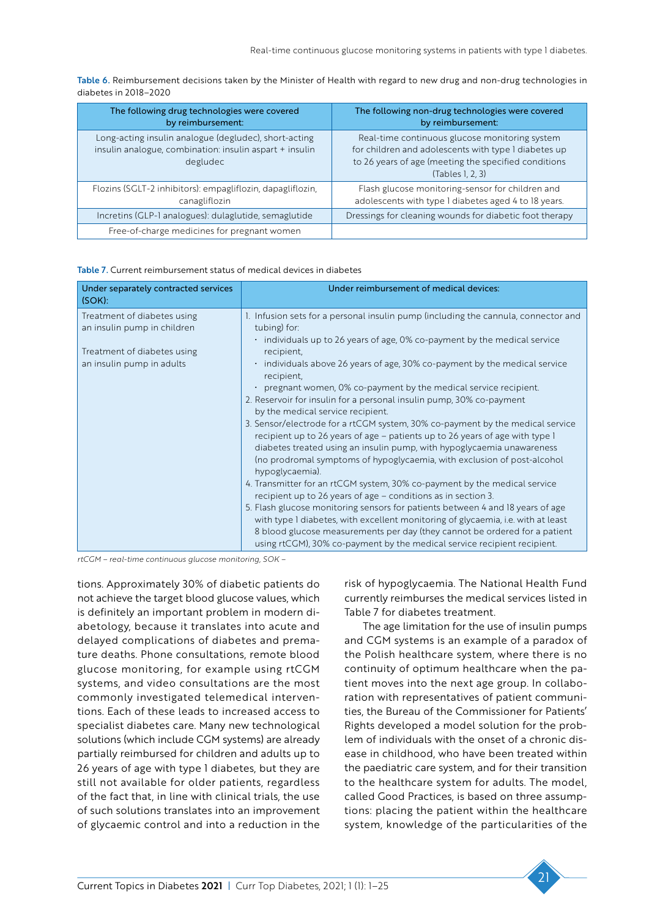Table 6. Reimbursement decisions taken by the Minister of Health with regard to new drug and non-drug technologies in diabetes in 2018–2020

| The following drug technologies were covered<br>by reimbursement:                                                            | The following non-drug technologies were covered<br>by reimbursement:                                                                                                              |
|------------------------------------------------------------------------------------------------------------------------------|------------------------------------------------------------------------------------------------------------------------------------------------------------------------------------|
| Long-acting insulin analogue (degludec), short-acting<br>insulin analogue, combination: insulin aspart + insulin<br>degludec | Real-time continuous glucose monitoring system<br>for children and adolescents with type I diabetes up<br>to 26 years of age (meeting the specified conditions<br>(Tables 1, 2, 3) |
| Flozins (SGLT-2 inhibitors): empagliflozin, dapagliflozin,<br>canagliflozin                                                  | Flash glucose monitoring-sensor for children and<br>adolescents with type I diabetes aged 4 to 18 years.                                                                           |
| Incretins (GLP-I analogues): dulaglutide, semaglutide                                                                        | Dressings for cleaning wounds for diabetic foot therapy                                                                                                                            |
| Free-of-charge medicines for pregnant women                                                                                  |                                                                                                                                                                                    |

| Under separately contracted services<br>(SOK):                                                                         | Under reimbursement of medical devices:                                                                                                                                                                                                                                                                                                                                                                                                                                                                                                                                                                                                                                                                                                                                                                                                                                                                                                                                                                                                                                                                                                                                                                                                                                                                        |
|------------------------------------------------------------------------------------------------------------------------|----------------------------------------------------------------------------------------------------------------------------------------------------------------------------------------------------------------------------------------------------------------------------------------------------------------------------------------------------------------------------------------------------------------------------------------------------------------------------------------------------------------------------------------------------------------------------------------------------------------------------------------------------------------------------------------------------------------------------------------------------------------------------------------------------------------------------------------------------------------------------------------------------------------------------------------------------------------------------------------------------------------------------------------------------------------------------------------------------------------------------------------------------------------------------------------------------------------------------------------------------------------------------------------------------------------|
| Treatment of diabetes using<br>an insulin pump in children<br>Treatment of diabetes using<br>an insulin pump in adults | 1. Infusion sets for a personal insulin pump (including the cannula, connector and<br>tubing) for:<br>• individuals up to 26 years of age, 0% co-payment by the medical service<br>recipient,<br>$\cdot$ individuals above 26 years of age, 30% co-payment by the medical service<br>recipient,<br>$\cdot$ pregnant women, 0% co-payment by the medical service recipient.<br>2. Reservoir for insulin for a personal insulin pump, 30% co-payment<br>by the medical service recipient.<br>3. Sensor/electrode for a rtCGM system, 30% co-payment by the medical service<br>recipient up to 26 years of age - patients up to 26 years of age with type I<br>diabetes treated using an insulin pump, with hypoglycaemia unawareness<br>(no prodromal symptoms of hypoglycaemia, with exclusion of post-alcohol<br>hypoglycaemia).<br>4. Transmitter for an rtCGM system, 30% co-payment by the medical service<br>recipient up to 26 years of age – conditions as in section 3.<br>5. Flash glucose monitoring sensors for patients between 4 and 18 years of age<br>with type I diabetes, with excellent monitoring of glycaemia, i.e. with at least<br>8 blood glucose measurements per day (they cannot be ordered for a patient<br>using rtCGM), 30% co-payment by the medical service recipient recipient. |

*rtCGM – real-time continuous glucose monitoring, SOK –* 

tions. Approximately 30% of diabetic patients do not achieve the target blood glucose values, which is definitely an important problem in modern diabetology, because it translates into acute and delayed complications of diabetes and premature deaths. Phone consultations, remote blood glucose monitoring, for example using rtCGM systems, and video consultations are the most commonly investigated telemedical interventions. Each of these leads to increased access to specialist diabetes care. Many new technological solutions (which include CGM systems) are already partially reimbursed for children and adults up to 26 years of age with type 1 diabetes, but they are still not available for older patients, regardless of the fact that, in line with clinical trials, the use of such solutions translates into an improvement of glycaemic control and into a reduction in the

risk of hypoglycaemia. The National Health Fund currently reimburses the medical services listed in Table 7 for diabetes treatment.

The age limitation for the use of insulin pumps and CGM systems is an example of a paradox of the Polish healthcare system, where there is no continuity of optimum healthcare when the patient moves into the next age group. In collaboration with representatives of patient communities, the Bureau of the Commissioner for Patients' Rights developed a model solution for the problem of individuals with the onset of a chronic disease in childhood, who have been treated within the paediatric care system, and for their transition to the healthcare system for adults. The model, called Good Practices, is based on three assumptions: placing the patient within the healthcare system, knowledge of the particularities of the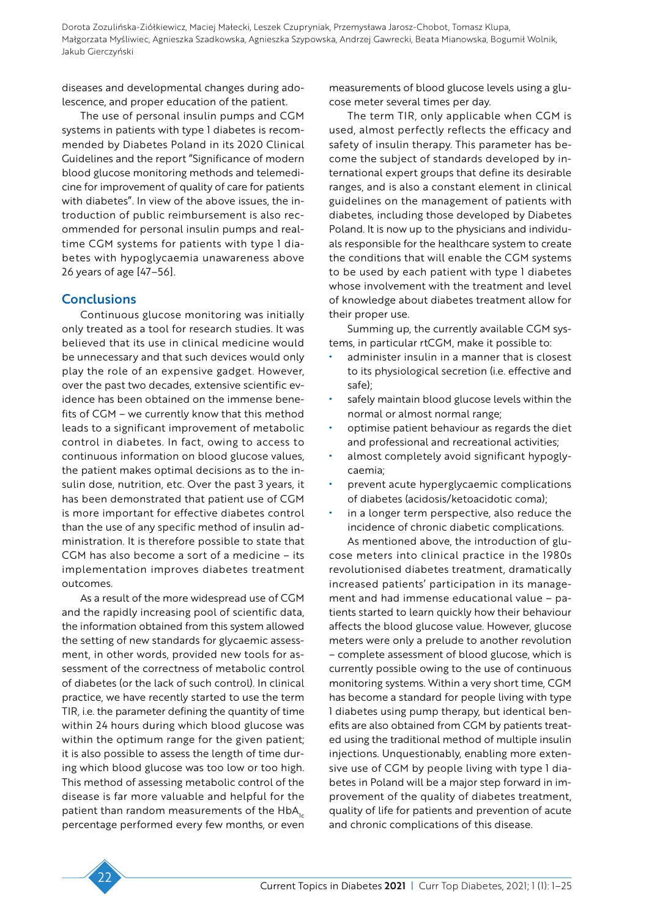diseases and developmental changes during adolescence, and proper education of the patient.

The use of personal insulin pumps and CGM systems in patients with type 1 diabetes is recommended by Diabetes Poland in its 2020 Clinical Guidelines and the report "Significance of modern blood glucose monitoring methods and telemedicine for improvement of quality of care for patients with diabetes". In view of the above issues, the introduction of public reimbursement is also recommended for personal insulin pumps and realtime CGM systems for patients with type 1 diabetes with hypoglycaemia unawareness above 26 years of age [47–56].

### **Conclusions**

Continuous glucose monitoring was initially only treated as a tool for research studies. It was believed that its use in clinical medicine would be unnecessary and that such devices would only play the role of an expensive gadget. However, over the past two decades, extensive scientific evidence has been obtained on the immense benefits of CGM – we currently know that this method leads to a significant improvement of metabolic control in diabetes. In fact, owing to access to continuous information on blood glucose values, the patient makes optimal decisions as to the insulin dose, nutrition, etc. Over the past 3 years, it has been demonstrated that patient use of CGM is more important for effective diabetes control than the use of any specific method of insulin administration. It is therefore possible to state that CGM has also become a sort of a medicine – its implementation improves diabetes treatment outcomes.

As a result of the more widespread use of CGM and the rapidly increasing pool of scientific data, the information obtained from this system allowed the setting of new standards for glycaemic assessment, in other words, provided new tools for assessment of the correctness of metabolic control of diabetes (or the lack of such control). In clinical practice, we have recently started to use the term TIR, i.e. the parameter defining the quantity of time within 24 hours during which blood glucose was within the optimum range for the given patient; it is also possible to assess the length of time during which blood glucose was too low or too high. This method of assessing metabolic control of the disease is far more valuable and helpful for the patient than random measurements of the  $HbA_{1c}$ percentage performed every few months, or even measurements of blood glucose levels using a glucose meter several times per day.

The term TIR, only applicable when CGM is used, almost perfectly reflects the efficacy and safety of insulin therapy. This parameter has become the subject of standards developed by international expert groups that define its desirable ranges, and is also a constant element in clinical guidelines on the management of patients with diabetes, including those developed by Diabetes Poland. It is now up to the physicians and individuals responsible for the healthcare system to create the conditions that will enable the CGM systems to be used by each patient with type 1 diabetes whose involvement with the treatment and level of knowledge about diabetes treatment allow for their proper use.

Summing up, the currently available CGM systems, in particular rtCGM, make it possible to:

- administer insulin in a manner that is closest to its physiological secretion (i.e. effective and safe);
- safely maintain blood glucose levels within the normal or almost normal range;
- optimise patient behaviour as regards the diet and professional and recreational activities;
- almost completely avoid significant hypoglycaemia;
- prevent acute hyperglycaemic complications of diabetes (acidosis/ketoacidotic coma);
- in a longer term perspective, also reduce the incidence of chronic diabetic complications.

As mentioned above, the introduction of glucose meters into clinical practice in the 1980s revolutionised diabetes treatment, dramatically increased patients' participation in its management and had immense educational value – patients started to learn quickly how their behaviour affects the blood glucose value. However, glucose meters were only a prelude to another revolution – complete assessment of blood glucose, which is currently possible owing to the use of continuous monitoring systems. Within a very short time, CGM has become a standard for people living with type 1 diabetes using pump therapy, but identical benefits are also obtained from CGM by patients treated using the traditional method of multiple insulin injections. Unquestionably, enabling more extensive use of CGM by people living with type 1 diabetes in Poland will be a major step forward in improvement of the quality of diabetes treatment, quality of life for patients and prevention of acute and chronic complications of this disease.

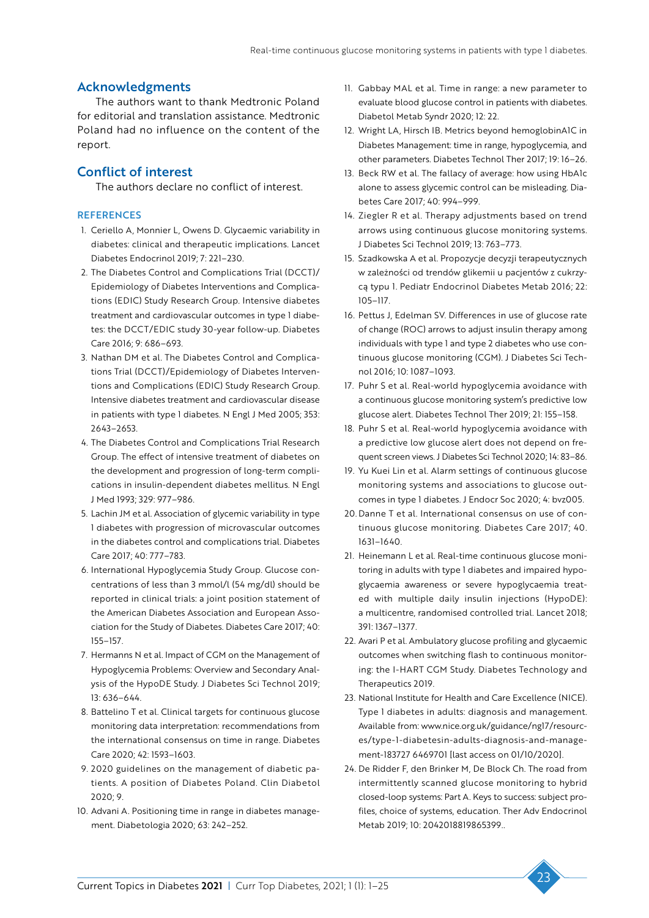#### Acknowledgments

The authors want to thank Medtronic Poland for editorial and translation assistance. Medtronic Poland had no influence on the content of the report.

#### Conflict of interest

The authors declare no conflict of interest.

#### **REFERENCES**

- 1. Ceriello A, Monnier L, Owens D. Glycaemic variability in diabetes: clinical and therapeutic implications. Lancet Diabetes Endocrinol 2019; 7: 221–230.
- 2. The Diabetes Control and Complications Trial (DCCT)/ Epidemiology of Diabetes Interventions and Complications (EDIC) Study Research Group. Intensive diabetes treatment and cardiovascular outcomes in type 1 diabetes: the DCCT/EDIC study 30-year follow-up. Diabetes Care 2016; 9: 686–693.
- 3. Nathan DM et al. The Diabetes Control and Complications Trial (DCCT)/Epidemiology of Diabetes Interventions and Complications (EDIC) Study Research Group. Intensive diabetes treatment and cardiovascular disease in patients with type 1 diabetes. N Engl J Med 2005; 353: 2643–2653.
- 4. The Diabetes Control and Complications Trial Research Group. The effect of intensive treatment of diabetes on the development and progression of long-term complications in insulin-dependent diabetes mellitus. N Engl J Med 1993; 329: 977–986.
- 5. Lachin JM et al. Association of glycemic variability in type 1 diabetes with progression of microvascular outcomes in the diabetes control and complications trial. Diabetes Care 2017; 40: 777–783.
- 6. International Hypoglycemia Study Group. Glucose concentrations of less than 3 mmol/l (54 mg/dl) should be reported in clinical trials: a joint position statement of the American Diabetes Association and European Association for the Study of Diabetes. Diabetes Care 2017; 40: 155–157.
- 7. Hermanns N et al. Impact of CGM on the Management of Hypoglycemia Problems: Overview and Secondary Analysis of the HypoDE Study. J Diabetes Sci Technol 2019; 13: 636–644.
- 8. Battelino T et al. Clinical targets for continuous glucose monitoring data interpretation: recommendations from the international consensus on time in range. Diabetes Care 2020; 42: 1593–1603.
- 9. 2020 guidelines on the management of diabetic patients. A position of Diabetes Poland. Clin Diabetol  $2020.9$
- 10. Advani A. Positioning time in range in diabetes management. Diabetologia 2020; 63: 242–252.
- 11. Gabbay MAL et al. Time in range: a new parameter to evaluate blood glucose control in patients with diabetes. Diabetol Metab Syndr 2020; 12: 22.
- 12. Wright LA, Hirsch IB. Metrics beyond hemoglobinA1C in Diabetes Management: time in range, hypoglycemia, and other parameters. Diabetes Technol Ther 2017; 19: 16–26.
- 13. Beck RW et al. The fallacy of average: how using HbA1c alone to assess glycemic control can be misleading. Diabetes Care 2017; 40: 994–999.
- 14. Ziegler R et al. Therapy adjustments based on trend arrows using continuous glucose monitoring systems. J Diabetes Sci Technol 2019; 13: 763–773.
- 15. Szadkowska A et al. Propozycje decyzji terapeutycznych w zależności od trendów glikemii u pacjentów z cukrzycą typu 1. Pediatr Endocrinol Diabetes Metab 2016; 22: 105–117.
- 16. Pettus J, Edelman SV. Differences in use of glucose rate of change (ROC) arrows to adjust insulin therapy among individuals with type 1 and type 2 diabetes who use continuous glucose monitoring (CGM). J Diabetes Sci Technol 2016; 10: 1087–1093.
- 17. Puhr S et al. Real-world hypoglycemia avoidance with a continuous glucose monitoring system's predictive low glucose alert. Diabetes Technol Ther 2019; 21: 155–158.
- 18. Puhr S et al. Real-world hypoglycemia avoidance with a predictive low glucose alert does not depend on frequent screen views. J Diabetes Sci Technol 2020; 14: 83–86.
- 19. Yu Kuei Lin et al. Alarm settings of continuous glucose monitoring systems and associations to glucose outcomes in type 1 diabetes. J Endocr Soc 2020; 4: bvz005.
- 20. Danne T et al. International consensus on use of continuous glucose monitoring. Diabetes Care 2017; 40. 1631–1640.
- 21. Heinemann L et al. Real-time continuous glucose monitoring in adults with type 1 diabetes and impaired hypoglycaemia awareness or severe hypoglycaemia treated with multiple daily insulin injections (HypoDE): a multicentre, randomised controlled trial. Lancet 2018; 391: 1367–1377.
- 22. Avari P et al. Ambulatory glucose profiling and glycaemic outcomes when switching flash to continuous monitoring: the I-HART CGM Study. Diabetes Technology and Therapeutics 2019.
- 23. National Institute for Health and Care Excellence (NICE). Type 1 diabetes in adults: diagnosis and management. Available from: www.nice.org.uk/guidance/ng17/resources/type-1-diabetesin-adults-diagnosis-and-management-183727 6469701 [last access on 01/10/2020].
- 24. De Ridder F, den Brinker M, De Block Ch. The road from intermittently scanned glucose monitoring to hybrid closed-loop systems: Part A. Keys to success: subject profiles, choice of systems, education. Ther Adv Endocrinol Metab 2019; 10: 2042018819865399..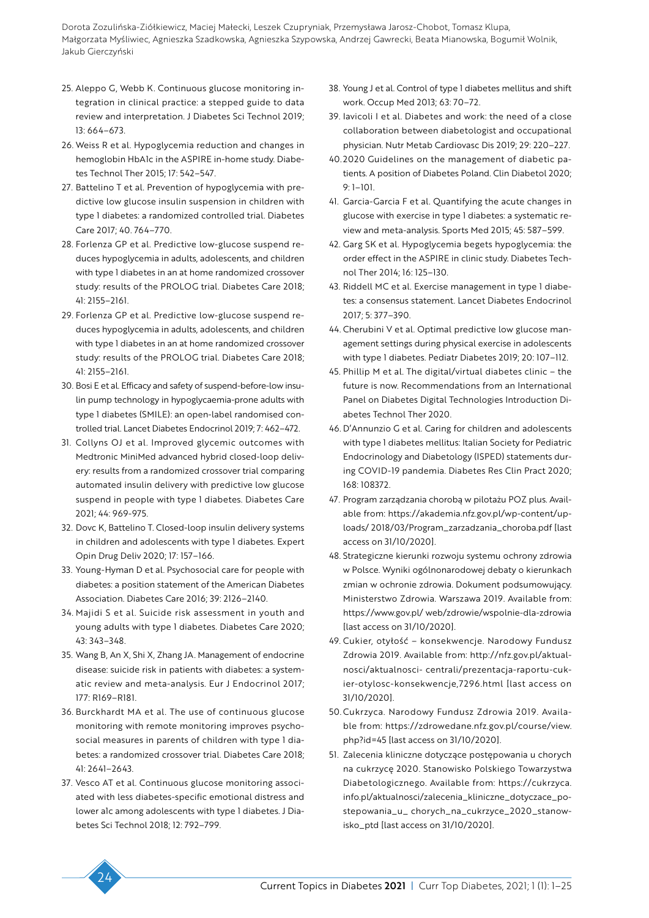- 25. Aleppo G, Webb K. Continuous glucose monitoring integration in clinical practice: a stepped guide to data review and interpretation. J Diabetes Sci Technol 2019; 13: 664–673.
- 26. Weiss R et al. Hypoglycemia reduction and changes in hemoglobin HbA1c in the ASPIRE in-home study. Diabetes Technol Ther 2015; 17: 542–547.
- 27. Battelino T et al. Prevention of hypoglycemia with predictive low glucose insulin suspension in children with type 1 diabetes: a randomized controlled trial. Diabetes Care 2017; 40. 764–770.
- 28. Forlenza GP et al. Predictive low-glucose suspend reduces hypoglycemia in adults, adolescents, and children with type 1 diabetes in an at home randomized crossover study: results of the PROLOG trial. Diabetes Care 2018; 41: 2155–2161.
- 29. Forlenza GP et al. Predictive low-glucose suspend reduces hypoglycemia in adults, adolescents, and children with type 1 diabetes in an at home randomized crossover study: results of the PROLOG trial. Diabetes Care 2018; 41: 2155–2161.
- 30. Bosi E et al. Efficacy and safety of suspend-before-low insulin pump technology in hypoglycaemia-prone adults with type 1 diabetes (SMILE): an open-label randomised controlled trial. Lancet Diabetes Endocrinol 2019; 7: 462–472.
- 31. Collyns OJ et al. Improved glycemic outcomes with Medtronic MiniMed advanced hybrid closed-loop delivery: results from a randomized crossover trial comparing automated insulin delivery with predictive low glucose suspend in people with type 1 diabetes. Diabetes Care 2021; 44: 969-975.
- 32. Dovc K, Battelino T. Closed-loop insulin delivery systems in children and adolescents with type 1 diabetes. Expert Opin Drug Deliv 2020; 17: 157–166.
- 33. Young-Hyman D et al. Psychosocial care for people with diabetes: a position statement of the American Diabetes Association. Diabetes Care 2016; 39: 2126–2140.
- 34. Majidi S et al. Suicide risk assessment in youth and young adults with type 1 diabetes. Diabetes Care 2020; 43: 343–348.
- 35. Wang B, An X, Shi X, Zhang JA. Management of endocrine disease: suicide risk in patients with diabetes: a systematic review and meta-analysis. Eur J Endocrinol 2017; 177: R169–R181.
- 36. Burckhardt MA et al. The use of continuous glucose monitoring with remote monitoring improves psychosocial measures in parents of children with type 1 diabetes: a randomized crossover trial. Diabetes Care 2018; 41: 2641–2643.
- 37. Vesco AT et al. Continuous glucose monitoring associated with less diabetes-specific emotional distress and lower a1c among adolescents with type 1 diabetes. J Diabetes Sci Technol 2018; 12: 792–799.
- 38. Young J et al. Control of type 1 diabetes mellitus and shift work. Occup Med 2013; 63: 70–72.
- 39. Iavicoli I et al. Diabetes and work: the need of a close collaboration between diabetologist and occupational physician. Nutr Metab Cardiovasc Dis 2019; 29: 220–227.
- 40. 2020 Guidelines on the management of diabetic patients. A position of Diabetes Poland. Clin Diabetol 2020; 9: 1–101.
- 41. Garcia-Garcia F et al. Quantifying the acute changes in glucose with exercise in type 1 diabetes: a systematic review and meta-analysis. Sports Med 2015; 45: 587–599.
- 42. Garg SK et al. Hypoglycemia begets hypoglycemia: the order effect in the ASPIRE in clinic study. Diabetes Technol Ther 2014; 16: 125–130.
- 43. Riddell MC et al. Exercise management in type 1 diabetes: a consensus statement. Lancet Diabetes Endocrinol 2017; 5: 377–390.
- 44. Cherubini V et al. Optimal predictive low glucose management settings during physical exercise in adolescents with type 1 diabetes. Pediatr Diabetes 2019; 20: 107–112.
- 45. Phillip M et al. The digital/virtual diabetes clinic the future is now. Recommendations from an International Panel on Diabetes Digital Technologies Introduction Diabetes Technol Ther 2020.
- 46. D'Annunzio G et al. Caring for children and adolescents with type 1 diabetes mellitus: Italian Society for Pediatric Endocrinology and Diabetology (ISPED) statements during COVID-19 pandemia. Diabetes Res Clin Pract 2020; 168: 108372.
- 47. Program zarządzania chorobą w pilotażu POZ plus. Available from: https://akademia.nfz.gov.pl/wp-content/uploads/ 2018/03/Program\_zarzadzania\_choroba.pdf [last access on 31/10/2020].
- 48. Strategiczne kierunki rozwoju systemu ochrony zdrowia w Polsce. Wyniki ogólnonarodowej debaty o kierunkach zmian w ochronie zdrowia. Dokument podsumowujący. Ministerstwo Zdrowia. Warszawa 2019. Available from: https://www.gov.pl/ web/zdrowie/wspolnie-dla-zdrowia [last access on 31/10/2020].
- 49. Cukier, otyłość konsekwencje. Narodowy Fundusz Zdrowia 2019. Available from: http://nfz.gov.pl/aktualnosci/aktualnosci- centrali/prezentacja-raportu-cukier-otylosc-konsekwencje,7296.html [last access on 31/10/2020].
- 50. Cukrzyca. Narodowy Fundusz Zdrowia 2019. Available from: https://zdrowedane.nfz.gov.pl/course/view. php?id=45 [last access on 31/10/2020].
- 51. Zalecenia kliniczne dotyczące postępowania u chorych na cukrzycę 2020. Stanowisko Polskiego Towarzystwa Diabetologicznego. Available from: https://cukrzyca. info.pl/aktualnosci/zalecenia\_kliniczne\_dotyczace\_postepowania\_u\_ chorych\_na\_cukrzyce\_2020\_stanowisko\_ptd [last access on 31/10/2020].